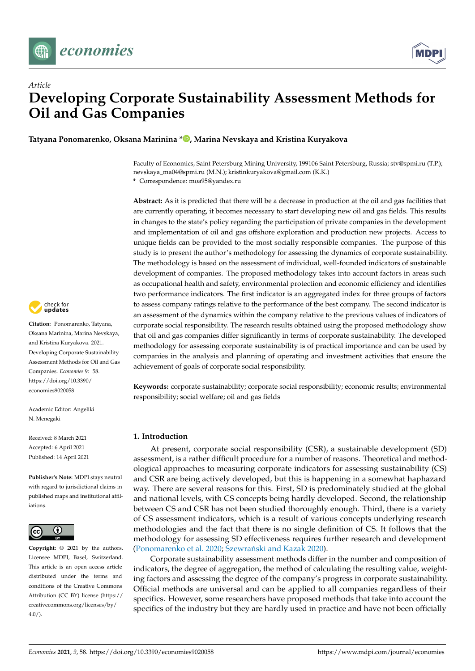



# *Article* **Developing Corporate Sustainability Assessment Methods for Oil and Gas Companies**

**Tatyana Ponomarenko, Oksana Marinina [\\*](https://orcid.org/0000-0002-7950-197X) , Marina Nevskaya and Kristina Kuryakova**

Faculty of Economics, Saint Petersburg Mining University, 199106 Saint Petersburg, Russia; stv@spmi.ru (T.P.); nevskaya\_ma04@spmi.ru (M.N.); kristinkuryakova@gmail.com (K.K.) **\*** Correspondence: moa95@yandex.ru

**Abstract:** As it is predicted that there will be a decrease in production at the oil and gas facilities that are currently operating, it becomes necessary to start developing new oil and gas fields. This results in changes to the state's policy regarding the participation of private companies in the development and implementation of oil and gas offshore exploration and production new projects. Access to unique fields can be provided to the most socially responsible companies. The purpose of this study is to present the author's methodology for assessing the dynamics of corporate sustainability. The methodology is based on the assessment of individual, well-founded indicators of sustainable development of companies. The proposed methodology takes into account factors in areas such as occupational health and safety, environmental protection and economic efficiency and identifies two performance indicators. The first indicator is an aggregated index for three groups of factors to assess company ratings relative to the performance of the best company. The second indicator is an assessment of the dynamics within the company relative to the previous values of indicators of corporate social responsibility. The research results obtained using the proposed methodology show that oil and gas companies differ significantly in terms of corporate sustainability. The developed methodology for assessing corporate sustainability is of practical importance and can be used by companies in the analysis and planning of operating and investment activities that ensure the achievement of goals of corporate social responsibility.

**Keywords:** corporate sustainability; corporate social responsibility; economic results; environmental responsibility; social welfare; oil and gas fields

#### <span id="page-0-0"></span>**1. Introduction**

At present, corporate social responsibility (CSR), a sustainable development (SD) assessment, is a rather difficult procedure for a number of reasons. Theoretical and methodological approaches to measuring corporate indicators for assessing sustainability (CS) and CSR are being actively developed, but this is happening in a somewhat haphazard way. There are several reasons for this. First, SD is predominately studied at the global and national levels, with CS concepts being hardly developed. Second, the relationship between CS and CSR has not been studied thoroughly enough. Third, there is a variety of CS assessment indicators, which is a result of various concepts underlying research methodologies and the fact that there is no single definition of CS. It follows that the methodology for assessing SD effectiveness requires further research and development [\(Ponomarenko et al.](#page-19-0) [2020;](#page-19-0) Szewrański and Kazak [2020\)](#page-20-0).

Corporate sustainability assessment methods differ in the number and composition of indicators, the degree of aggregation, the method of calculating the resulting value, weighting factors and assessing the degree of the company's progress in corporate sustainability. Official methods are universal and can be applied to all companies regardless of their specifics. However, some researchers have proposed methods that take into account the specifics of the industry but they are hardly used in practice and have not been officially



**Citation:** Ponomarenko, Tatyana, Oksana Marinina, Marina Nevskaya, and Kristina Kuryakova. 2021. Developing Corporate Sustainability Assessment Methods for Oil and Gas Companies. *Economies* 9: 58. [https://doi.org/10.3390/](https://doi.org/10.3390/economies9020058) [economies9020058](https://doi.org/10.3390/economies9020058)

Academic Editor: Angeliki N. Menegaki

Received: 8 March 2021 Accepted: 6 April 2021 Published: 14 April 2021

**Publisher's Note:** MDPI stays neutral with regard to jurisdictional claims in published maps and institutional affiliations.



**Copyright:** © 2021 by the authors. Licensee MDPI, Basel, Switzerland. This article is an open access article distributed under the terms and conditions of the Creative Commons Attribution (CC BY) license (https:/[/](https://creativecommons.org/licenses/by/4.0/) [creativecommons.org/licenses/by/](https://creativecommons.org/licenses/by/4.0/)  $4.0/$ ).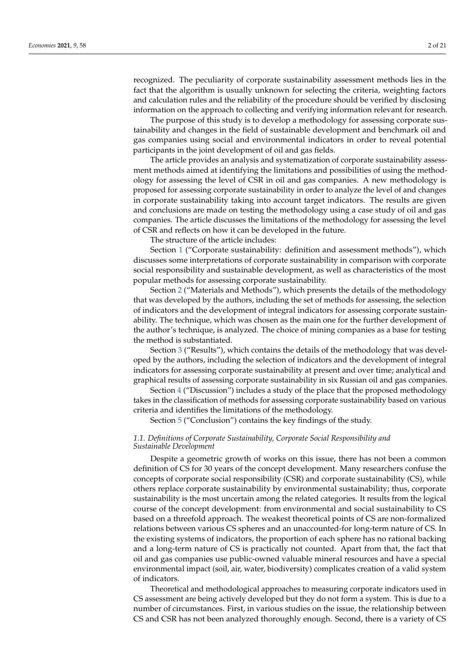recognized. The peculiarity of corporate sustainability assessment methods lies in the fact that the algorithm is usually unknown for selecting the criteria, weighting factors and calculation rules and the reliability of the procedure should be verified by disclosing information on the approach to collecting and verifying information relevant for research.

The purpose of this study is to develop a methodology for assessing corporate sustainability and changes in the field of sustainable development and benchmark oil and gas companies using social and environmental indicators in order to reveal potential participants in the joint development of oil and gas fields.

The article provides an analysis and systematization of corporate sustainability assessment methods aimed at identifying the limitations and possibilities of using the methodology for assessing the level of CSR in oil and gas companies. A new methodology is proposed for assessing corporate sustainability in order to analyze the level of and changes in corporate sustainability taking into account target indicators. The results are given and conclusions are made on testing the methodology using a case study of oil and gas companies. The article discusses the limitations of the methodology for assessing the level of CSR and reflects on how it can be developed in the future.

The structure of the article includes:

Section [1](#page-0-0) ("Corporate sustainability: definition and assessment methods"), which discusses some interpretations of corporate sustainability in comparison with corporate social responsibility and sustainable development, as well as characteristics of the most popular methods for assessing corporate sustainability.

Section [2](#page-7-0) ("Materials and Methods"), which presents the details of the methodology that was developed by the authors, including the set of methods for assessing, the selection of indicators and the development of integral indicators for assessing corporate sustainability. The technique, which was chosen as the main one for the further development of the author's technique, is analyzed. The choice of mining companies as a base for testing the method is substantiated.

Section [3](#page-9-0) ("Results"), which contains the details of the methodology that was developed by the authors, including the selection of indicators and the development of integral indicators for assessing corporate sustainability at present and over time; analytical and graphical results of assessing corporate sustainability in six Russian oil and gas companies.

Section [4](#page-12-0) ("Discussion") includes a study of the place that the proposed methodology takes in the classification of methods for assessing corporate sustainability based on various criteria and identifies the limitations of the methodology.

Section [5](#page-14-0) ("Conclusion") contains the key findings of the study.

#### *1.1. Definitions of Corporate Sustainability, Corporate Social Responsibility and Sustainable Development*

Despite a geometric growth of works on this issue, there has not been a common definition of CS for 30 years of the concept development. Many researchers confuse the concepts of corporate social responsibility (CSR) and corporate sustainability (CS), while others replace corporate sustainability by environmental sustainability; thus, corporate sustainability is the most uncertain among the related categories. It results from the logical course of the concept development: from environmental and social sustainability to CS based on a threefold approach. The weakest theoretical points of CS are non-formalized relations between various CS spheres and an unaccounted-for long-term nature of CS. In the existing systems of indicators, the proportion of each sphere has no rational backing and a long-term nature of CS is practically not counted. Apart from that, the fact that oil and gas companies use public-owned valuable mineral resources and have a special environmental impact (soil, air, water, biodiversity) complicates creation of a valid system of indicators.

Theoretical and methodological approaches to measuring corporate indicators used in CS assessment are being actively developed but they do not form a system. This is due to a number of circumstances. First, in various studies on the issue, the relationship between CS and CSR has not been analyzed thoroughly enough. Second, there is a variety of CS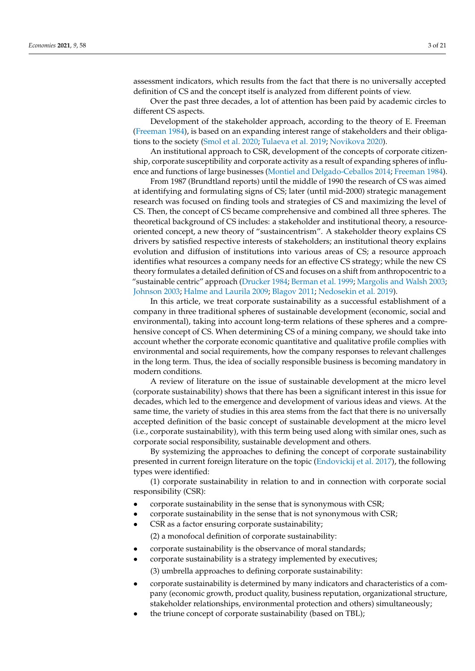assessment indicators, which results from the fact that there is no universally accepted definition of CS and the concept itself is analyzed from different points of view.

Over the past three decades, a lot of attention has been paid by academic circles to different CS aspects.

Development of the stakeholder approach, according to the theory of E. Freeman [\(Freeman](#page-18-0) [1984\)](#page-18-0), is based on an expanding interest range of stakeholders and their obligations to the society [\(Smol et al.](#page-20-1) [2020;](#page-20-1) [Tulaeva et al.](#page-20-2) [2019;](#page-20-2) [Novikova](#page-19-1) [2020\)](#page-19-1).

An institutional approach to CSR, development of the concepts of corporate citizenship, corporate susceptibility and corporate activity as a result of expanding spheres of influence and functions of large businesses [\(Montiel and Delgado-Ceballos](#page-19-2) [2014;](#page-19-2) [Freeman](#page-18-0) [1984\)](#page-18-0).

From 1987 (Brundtland reports) until the middle of 1990 the research of CS was aimed at identifying and formulating signs of CS; later (until mid-2000) strategic management research was focused on finding tools and strategies of CS and maximizing the level of CS. Then, the concept of CS became comprehensive and combined all three spheres. The theoretical background of CS includes: a stakeholder and institutional theory, a resourceoriented concept, a new theory of "sustaincentrism". A stakeholder theory explains CS drivers by satisfied respective interests of stakeholders; an institutional theory explains evolution and diffusion of institutions into various areas of CS; a resource approach identifies what resources a company needs for an effective CS strategy; while the new CS theory formulates a detailed definition of CS and focuses on a shift from anthropocentric to a "sustainable centric" approach [\(Drucker](#page-18-1) [1984;](#page-18-1) [Berman et al.](#page-18-2) [1999;](#page-18-2) [Margolis and Walsh](#page-19-3) [2003;](#page-19-3) [Johnson](#page-19-4) [2003;](#page-19-4) [Halme and Laurila](#page-19-5) [2009;](#page-19-5) [Blagov](#page-18-3) [2011;](#page-18-3) [Nedosekin et al.](#page-19-6) [2019\)](#page-19-6).

In this article, we treat corporate sustainability as a successful establishment of a company in three traditional spheres of sustainable development (economic, social and environmental), taking into account long-term relations of these spheres and a comprehensive concept of CS. When determining CS of a mining company, we should take into account whether the corporate economic quantitative and qualitative profile complies with environmental and social requirements, how the company responses to relevant challenges in the long term. Thus, the idea of socially responsible business is becoming mandatory in modern conditions.

A review of literature on the issue of sustainable development at the micro level (corporate sustainability) shows that there has been a significant interest in this issue for decades, which led to the emergence and development of various ideas and views. At the same time, the variety of studies in this area stems from the fact that there is no universally accepted definition of the basic concept of sustainable development at the micro level (i.e., corporate sustainability), with this term being used along with similar ones, such as corporate social responsibility, sustainable development and others.

By systemizing the approaches to defining the concept of corporate sustainability presented in current foreign literature on the topic [\(Endovickij et al.](#page-18-4) [2017\)](#page-18-4), the following types were identified:

(1) corporate sustainability in relation to and in connection with corporate social responsibility (CSR):

- corporate sustainability in the sense that is synonymous with CSR;
- corporate sustainability in the sense that is not synonymous with CSR;
- CSR as a factor ensuring corporate sustainability;

(2) a monofocal definition of corporate sustainability:

- corporate sustainability is the observance of moral standards;
- corporate sustainability is a strategy implemented by executives; (3) umbrella approaches to defining corporate sustainability:
- corporate sustainability is determined by many indicators and characteristics of a company (economic growth, product quality, business reputation, organizational structure, stakeholder relationships, environmental protection and others) simultaneously;
- the triune concept of corporate sustainability (based on TBL);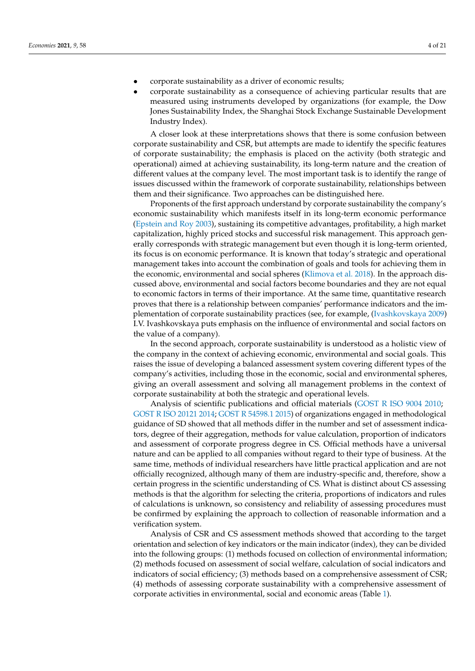- corporate sustainability as a driver of economic results;
- corporate sustainability as a consequence of achieving particular results that are measured using instruments developed by organizations (for example, the Dow Jones Sustainability Index, the Shanghai Stock Exchange Sustainable Development Industry Index).

A closer look at these interpretations shows that there is some confusion between corporate sustainability and CSR, but attempts are made to identify the specific features of corporate sustainability; the emphasis is placed on the activity (both strategic and operational) aimed at achieving sustainability, its long-term nature and the creation of different values at the company level. The most important task is to identify the range of issues discussed within the framework of corporate sustainability, relationships between them and their significance. Two approaches can be distinguished here.

Proponents of the first approach understand by corporate sustainability the company's economic sustainability which manifests itself in its long-term economic performance [\(Epstein and Roy](#page-18-5) [2003\)](#page-18-5), sustaining its competitive advantages, profitability, a high market capitalization, highly priced stocks and successful risk management. This approach generally corresponds with strategic management but even though it is long-term oriented, its focus is on economic performance. It is known that today's strategic and operational management takes into account the combination of goals and tools for achieving them in the economic, environmental and social spheres [\(Klimova et al.](#page-19-7) [2018\)](#page-19-7). In the approach discussed above, environmental and social factors become boundaries and they are not equal to economic factors in terms of their importance. At the same time, quantitative research proves that there is a relationship between companies' performance indicators and the implementation of corporate sustainability practices (see, for example, [\(Ivashkovskaya](#page-19-8) [2009\)](#page-19-8) I.V. Ivashkovskaya puts emphasis on the influence of environmental and social factors on the value of a company).

In the second approach, corporate sustainability is understood as a holistic view of the company in the context of achieving economic, environmental and social goals. This raises the issue of developing a balanced assessment system covering different types of the company's activities, including those in the economic, social and environmental spheres, giving an overall assessment and solving all management problems in the context of corporate sustainability at both the strategic and operational levels.

Analysis of scientific publications and official materials [\(GOST R ISO 9004](#page-19-9) [2010;](#page-19-9) [GOST R ISO 20121](#page-19-10) [2014;](#page-19-10) [GOST R 54598.1](#page-19-11) [2015\)](#page-19-11) of organizations engaged in methodological guidance of SD showed that all methods differ in the number and set of assessment indicators, degree of their aggregation, methods for value calculation, proportion of indicators and assessment of corporate progress degree in CS. Official methods have a universal nature and can be applied to all companies without regard to their type of business. At the same time, methods of individual researchers have little practical application and are not officially recognized, although many of them are industry-specific and, therefore, show a certain progress in the scientific understanding of CS. What is distinct about CS assessing methods is that the algorithm for selecting the criteria, proportions of indicators and rules of calculations is unknown, so consistency and reliability of assessing procedures must be confirmed by explaining the approach to collection of reasonable information and a verification system.

Analysis of CSR and CS assessment methods showed that according to the target orientation and selection of key indicators or the main indicator (index), they can be divided into the following groups: (1) methods focused on collection of environmental information; (2) methods focused on assessment of social welfare, calculation of social indicators and indicators of social efficiency; (3) methods based on a comprehensive assessment of CSR; (4) methods of assessing corporate sustainability with a comprehensive assessment of corporate activities in environmental, social and economic areas (Table [1\)](#page-4-0).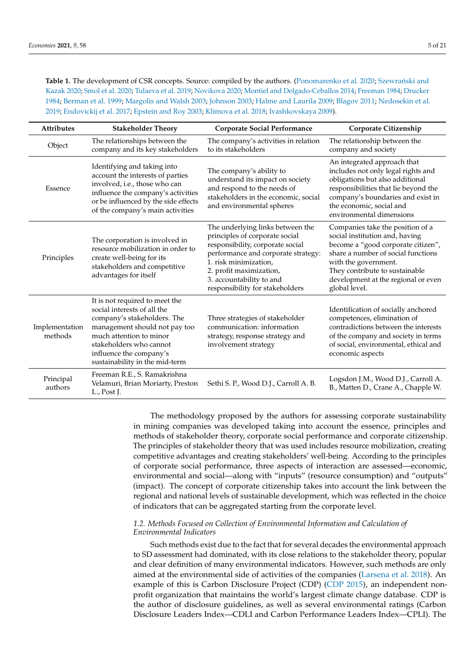<span id="page-4-0"></span>Table 1. The development of CSR concepts. Source: compiled by the authors. [\(Ponomarenko et al.](#page-19-0) [2020;](#page-19-0) Szewrański and [Kazak](#page-20-0) [2020;](#page-20-0) [Smol et al.](#page-20-1) [2020;](#page-20-1) [Tulaeva et al.](#page-20-2) [2019;](#page-20-2) [Novikova](#page-19-1) [2020;](#page-19-1) [Montiel and Delgado-Ceballos](#page-19-2) [2014;](#page-19-2) [Freeman](#page-18-0) [1984;](#page-18-0) [Drucker](#page-18-1) [1984;](#page-18-1) [Berman et al.](#page-18-2) [1999;](#page-18-2) [Margolis and Walsh](#page-19-3) [2003;](#page-19-3) [Johnson](#page-19-4) [2003;](#page-19-4) [Halme and Laurila](#page-19-5) [2009;](#page-19-5) [Blagov](#page-18-3) [2011;](#page-18-3) [Nedosekin et al.](#page-19-6) [2019;](#page-19-6) [Endovickij et al.](#page-18-4) [2017;](#page-18-4) [Epstein and Roy](#page-18-5) [2003;](#page-18-5) [Klimova et al.](#page-19-7) [2018;](#page-19-7) [Ivashkovskaya](#page-19-8) [2009\)](#page-19-8).

| <b>Attributes</b>         | <b>Stakeholder Theory</b>                                                                                                                                                                                                                        | <b>Corporate Social Performance</b>                                                                                                                                                                                                                              | Corporate Citizenship                                                                                                                                                                                                                                            |  |  |  |
|---------------------------|--------------------------------------------------------------------------------------------------------------------------------------------------------------------------------------------------------------------------------------------------|------------------------------------------------------------------------------------------------------------------------------------------------------------------------------------------------------------------------------------------------------------------|------------------------------------------------------------------------------------------------------------------------------------------------------------------------------------------------------------------------------------------------------------------|--|--|--|
| Object                    | The relationships between the<br>company and its key stakeholders                                                                                                                                                                                | The company's activities in relation<br>to its stakeholders                                                                                                                                                                                                      | The relationship between the<br>company and society                                                                                                                                                                                                              |  |  |  |
| Essence                   | Identifying and taking into<br>account the interests of parties<br>involved, i.e., those who can<br>influence the company's activities<br>or be influenced by the side effects<br>of the company's main activities                               | The company's ability to<br>understand its impact on society<br>and respond to the needs of<br>stakeholders in the economic, social<br>and environmental spheres                                                                                                 | An integrated approach that<br>includes not only legal rights and<br>obligations but also additional<br>responsibilities that lie beyond the<br>company's boundaries and exist in<br>the economic, social and<br>environmental dimensions                        |  |  |  |
| Principles                | The corporation is involved in<br>resource mobilization in order to<br>create well-being for its<br>stakeholders and competitive<br>advantages for itself                                                                                        | The underlying links between the<br>principles of corporate social<br>responsibility, corporate social<br>performance and corporate strategy:<br>1. risk minimization,<br>2. profit maximization,<br>3. accountability to and<br>responsibility for stakeholders | Companies take the position of a<br>social institution and, having<br>become a "good corporate citizen",<br>share a number of social functions<br>with the government.<br>They contribute to sustainable<br>development at the regional or even<br>global level. |  |  |  |
| Implementation<br>methods | It is not required to meet the<br>social interests of all the<br>company's stakeholders. The<br>management should not pay too<br>much attention to minor<br>stakeholders who cannot<br>influence the company's<br>sustainability in the mid-term | Three strategies of stakeholder<br>communication: information<br>strategy, response strategy and<br>involvement strategy                                                                                                                                         | Identification of socially anchored<br>competences, elimination of<br>contradictions between the interests<br>of the company and society in terms<br>of social, environmental, ethical and<br>economic aspects                                                   |  |  |  |
| Principal<br>authors      | Freeman R.E., S. Ramakrishna<br>Velamuri, Brian Moriarty, Preston<br>L., Post J.                                                                                                                                                                 | Sethi S. P., Wood D.J., Carroll A. B.                                                                                                                                                                                                                            | Logsdon J.M., Wood D.J., Carroll A.<br>B., Matten D., Crane A., Chapple W.                                                                                                                                                                                       |  |  |  |

The methodology proposed by the authors for assessing corporate sustainability in mining companies was developed taking into account the essence, principles and methods of stakeholder theory, corporate social performance and corporate citizenship. The principles of stakeholder theory that was used includes resource mobilization, creating competitive advantages and creating stakeholders' well-being. According to the principles of corporate social performance, three aspects of interaction are assessed—economic, environmental and social—along with "inputs" (resource consumption) and "outputs" (impact). The concept of corporate citizenship takes into account the link between the regional and national levels of sustainable development, which was reflected in the choice of indicators that can be aggregated starting from the corporate level.

#### *1.2. Methods Focused on Collection of Environmental Information and Calculation of Environmental Indicators*

Such methods exist due to the fact that for several decades the environmental approach to SD assessment had dominated, with its close relations to the stakeholder theory, popular and clear definition of many environmental indicators. However, such methods are only aimed at the environmental side of activities of the companies [\(Larsena et al.](#page-19-12) [2018\)](#page-19-12). An example of this is Carbon Disclosure Project (CDP) [\(CDP](#page-18-6) [2015\)](#page-18-6), an independent nonprofit organization that maintains the world's largest climate change database. CDP is the author of disclosure guidelines, as well as several environmental ratings (Carbon Disclosure Leaders Index—CDLI and Carbon Performance Leaders Index—CPLI). The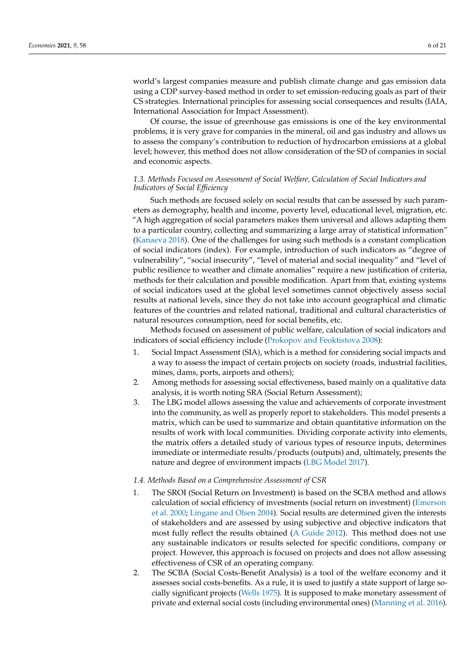world's largest companies measure and publish climate change and gas emission data using a CDP survey-based method in order to set emission-reducing goals as part of their CS strategies. International principles for assessing social consequences and results (IAIA, International Association for Impact Assessment).

Of course, the issue of greenhouse gas emissions is one of the key environmental problems, it is very grave for companies in the mineral, oil and gas industry and allows us to assess the company's contribution to reduction of hydrocarbon emissions at a global level; however, this method does not allow consideration of the SD of companies in social and economic aspects.

#### *1.3. Methods Focused on Assessment of Social Welfare, Calculation of Social Indicators and Indicators of Social Efficiency*

Such methods are focused solely on social results that can be assessed by such parameters as demography, health and income, poverty level, educational level, migration, etc. "A high aggregation of social parameters makes them universal and allows adapting them to a particular country, collecting and summarizing a large array of statistical information" [\(Kanaeva](#page-19-13) [2018\)](#page-19-13). One of the challenges for using such methods is a constant complication of social indicators (index). For example, introduction of such indicators as "degree of vulnerability", "social insecurity", "level of material and social inequality" and "level of public resilience to weather and climate anomalies" require a new justification of criteria, methods for their calculation and possible modification. Apart from that, existing systems of social indicators used at the global level sometimes cannot objectively assess social results at national levels, since they do not take into account geographical and climatic features of the countries and related national, traditional and cultural characteristics of natural resources consumption, need for social benefits, etc.

Methods focused on assessment of public welfare, calculation of social indicators and indicators of social efficiency include [\(Prokopov and Feoktistova](#page-19-14) [2008\)](#page-19-14):

- 1. Social Impact Assessment (SIA), which is a method for considering social impacts and a way to assess the impact of certain projects on society (roads, industrial facilities, mines, dams, ports, airports and others);
- 2. Among methods for assessing social effectiveness, based mainly on a qualitative data analysis, it is worth noting SRA (Social Return Assessment);
- 3. The LBG model allows assessing the value and achievements of corporate investment into the community, as well as properly report to stakeholders. This model presents a matrix, which can be used to summarize and obtain quantitative information on the results of work with local communities. Dividing corporate activity into elements, the matrix offers a detailed study of various types of resource inputs, determines immediate or intermediate results/products (outputs) and, ultimately, presents the nature and degree of environment impacts [\(LBG Model](#page-19-15) [2017\)](#page-19-15).

#### *1.4. Methods Based on a Comprehensive Assessment of CSR*

- 1. The SROI (Social Return on Investment) is based on the SCBA method and allows calculation of social efficiency of investments (social return on investment) [\(Emerson](#page-18-7) [et al.](#page-18-7) [2000;](#page-18-7) [Lingane and Olsen](#page-19-16) [2004\)](#page-19-16). Social results are determined given the interests of stakeholders and are assessed by using subjective and objective indicators that most fully reflect the results obtained [\(A Guide](#page-18-8) [2012\)](#page-18-8). This method does not use any sustainable indicators or results selected for specific conditions, company or project. However, this approach is focused on projects and does not allow assessing effectiveness of CSR of an operating company.
- 2. The SCBA (Social Costs-Benefit Analysis) is a tool of the welfare economy and it assesses social costs-benefits. As a rule, it is used to justify a state support of large socially significant projects [\(Wells](#page-20-3) [1975\)](#page-20-3). It is supposed to make monetary assessment of private and external social costs (including environmental ones) [\(Manning et al.](#page-19-17) [2016\)](#page-19-17).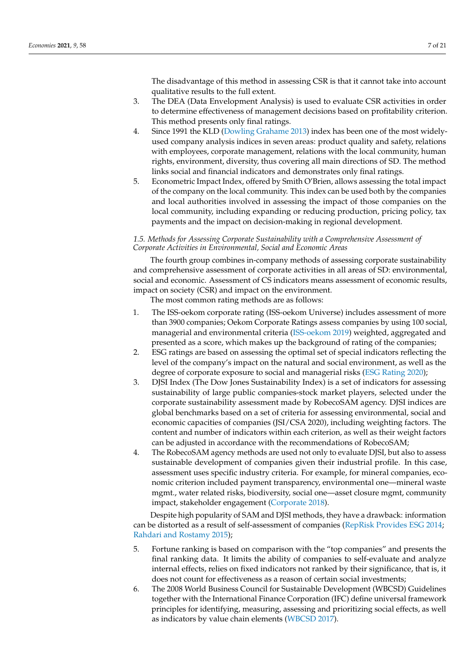The disadvantage of this method in assessing CSR is that it cannot take into account qualitative results to the full extent.

- 3. The DEA (Data Envelopment Analysis) is used to evaluate CSR activities in order to determine effectiveness of management decisions based on profitability criterion. This method presents only final ratings.
- 4. Since 1991 the KLD [\(Dowling Grahame](#page-18-9) [2013\)](#page-18-9) index has been one of the most widelyused company analysis indices in seven areas: product quality and safety, relations with employees, corporate management, relations with the local community, human rights, environment, diversity, thus covering all main directions of SD. The method links social and financial indicators and demonstrates only final ratings.
- 5. Econometric Impact Index, offered by Smith O'Brien, allows assessing the total impact of the company on the local community. This index can be used both by the companies and local authorities involved in assessing the impact of those companies on the local community, including expanding or reducing production, pricing policy, tax payments and the impact on decision-making in regional development.

#### *1.5. Methods for Assessing Corporate Sustainability with a Comprehensive Assessment of Corporate Activities in Environmental, Social and Economic Areas*

The fourth group combines in-company methods of assessing corporate sustainability and comprehensive assessment of corporate activities in all areas of SD: environmental, social and economic. Assessment of CS indicators means assessment of economic results, impact on society (CSR) and impact on the environment.

The most common rating methods are as follows:

- 1. The ISS-oekom corporate rating (ISS-oekom Universe) includes assessment of more than 3900 companies; Oekom Corporate Ratings assess companies by using 100 social, managerial and environmental criteria [\(ISS-oekom](#page-19-18) [2019\)](#page-19-18) weighted, aggregated and presented as a score, which makes up the background of rating of the companies;
- 2. ESG ratings are based on assessing the optimal set of special indicators reflecting the level of the company's impact on the natural and social environment, as well as the degree of corporate exposure to social and managerial risks [\(ESG Rating](#page-18-10) [2020\)](#page-18-10);
- 3. DJSI Index (The Dow Jones Sustainability Index) is a set of indicators for assessing sustainability of large public companies-stock market players, selected under the corporate sustainability assessment made by RobecoSAM agency. DJSI indices are global benchmarks based on a set of criteria for assessing environmental, social and economic capacities of companies (JSI/CSA 2020), including weighting factors. The content and number of indicators within each criterion, as well as their weight factors can be adjusted in accordance with the recommendations of RobecoSAM;
- 4. The RobecoSAM agency methods are used not only to evaluate DJSI, but also to assess sustainable development of companies given their industrial profile. In this case, assessment uses specific industry criteria. For example, for mineral companies, economic criterion included payment transparency, environmental one—mineral waste mgmt., water related risks, biodiversity, social one—asset closure mgmt, community impact, stakeholder engagement [\(Corporate](#page-18-11) [2018\)](#page-18-11).

Despite high popularity of SAM and DJSI methods, they have a drawback: information can be distorted as a result of self-assessment of companies [\(RepRisk Provides ESG](#page-20-4) [2014;](#page-20-4) [Rahdari and Rostamy](#page-19-19) [2015\)](#page-19-19);

- 5. Fortune ranking is based on comparison with the "top companies" and presents the final ranking data. It limits the ability of companies to self-evaluate and analyze internal effects, relies on fixed indicators not ranked by their significance, that is, it does not count for effectiveness as a reason of certain social investments;
- 6. The 2008 World Business Council for Sustainable Development (WBCSD) Guidelines together with the International Finance Corporation (IFC) define universal framework principles for identifying, measuring, assessing and prioritizing social effects, as well as indicators by value chain elements [\(WBCSD](#page-20-5) [2017\)](#page-20-5).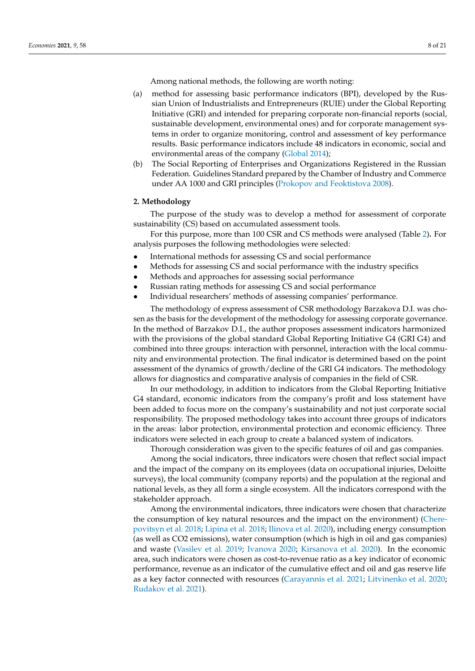Among national methods, the following are worth noting:

- (a) method for assessing basic performance indicators (BPI), developed by the Russian Union of Industrialists and Entrepreneurs (RUIE) under the Global Reporting Initiative (GRI) and intended for preparing corporate non-financial reports (social, sustainable development, environmental ones) and for corporate management systems in order to organize monitoring, control and assessment of key performance results. Basic performance indicators include 48 indicators in economic, social and environmental areas of the company [\(Global](#page-18-12) [2014\)](#page-18-12);
- (b) The Social Reporting of Enterprises and Organizations Registered in the Russian Federation. Guidelines Standard prepared by the Chamber of Industry and Commerce under AA 1000 and GRI principles [\(Prokopov and Feoktistova](#page-19-14) [2008\)](#page-19-14).

#### <span id="page-7-0"></span>**2. Methodology**

The purpose of the study was to develop a method for assessment of corporate sustainability (CS) based on accumulated assessment tools.

For this purpose, more than 100 CSR and CS methods were analysed (Table [2\)](#page-8-0)**.** For analysis purposes the following methodologies were selected:

- International methods for assessing CS and social performance
- Methods for assessing CS and social performance with the industry specifics
- Methods and approaches for assessing social performance
- Russian rating methods for assessing CS and social performance
- Individual researchers' methods of assessing companies' performance.

The methodology of express assessment of CSR methodology Barzakova D.I. was chosen as the basis for the development of the methodology for assessing corporate governance. In the method of Barzakov D.I., the author proposes assessment indicators harmonized with the provisions of the global standard Global Reporting Initiative G4 (GRI G4) and combined into three groups: interaction with personnel, interaction with the local community and environmental protection. The final indicator is determined based on the point assessment of the dynamics of growth/decline of the GRI G4 indicators. The methodology allows for diagnostics and comparative analysis of companies in the field of CSR.

In our methodology, in addition to indicators from the Global Reporting Initiative G4 standard, economic indicators from the company's profit and loss statement have been added to focus more on the company's sustainability and not just corporate social responsibility. The proposed methodology takes into account three groups of indicators in the areas: labor protection, environmental protection and economic efficiency. Three indicators were selected in each group to create a balanced system of indicators.

Thorough consideration was given to the specific features of oil and gas companies.

Among the social indicators, three indicators were chosen that reflect social impact and the impact of the company on its employees (data on occupational injuries, Deloitte surveys), the local community (company reports) and the population at the regional and national levels, as they all form a single ecosystem. All the indicators correspond with the stakeholder approach.

Among the environmental indicators, three indicators were chosen that characterize the consumption of key natural resources and the impact on the environment) [\(Chere](#page-18-13)[povitsyn et al.](#page-18-13) [2018;](#page-18-13) [Lipina et al.](#page-19-20) [2018;](#page-19-20) [Ilinova et al.](#page-19-21) [2020\)](#page-19-21), including energy consumption (as well as CO2 emissions), water consumption (which is high in oil and gas companies) and waste [\(Vasilev et al.](#page-20-6) [2019;](#page-20-6) [Ivanova](#page-19-22) [2020;](#page-19-22) [Kirsanova et al.](#page-19-23) [2020\)](#page-19-23). In the economic area, such indicators were chosen as cost-to-revenue ratio as a key indicator of economic performance, revenue as an indicator of the cumulative effect and oil and gas reserve life as a key factor connected with resources [\(Carayannis et al.](#page-18-14) [2021;](#page-18-14) [Litvinenko et al.](#page-19-24) [2020;](#page-19-24) [Rudakov et al.](#page-20-7) [2021\)](#page-20-7).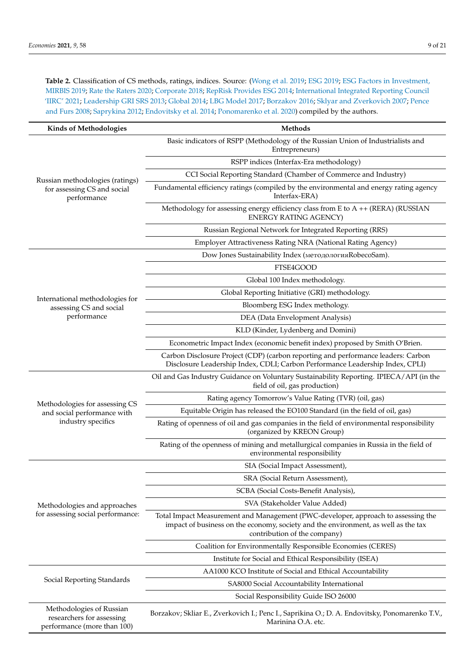<span id="page-8-0"></span>Table 2. Classification of CS methods, ratings, indices. Source: [\(Wong et al.](#page-20-8) [2019;](#page-18-15) [ESG](#page-18-15) 2019; [ESG Factors in Investment,](#page-18-16) [MIRBIS](#page-18-16) [2019;](#page-18-16) [Rate the Raters](#page-19-25) [2020;](#page-19-25) [Corporate](#page-18-11) [2018;](#page-18-11) [RepRisk Provides ESG](#page-20-4) [2014;](#page-20-4) [International Integrated Reporting Council](#page-19-26) ['IIRC'](#page-19-26) [2021;](#page-19-26) [Leadership GRI SRS](#page-19-27) [2013;](#page-19-27) [Global](#page-18-12) [2014;](#page-18-12) [LBG Model](#page-19-15) [2017;](#page-19-15) [Borzakov](#page-18-17) [2016;](#page-18-17) [Sklyar and Zverkovich](#page-20-9) [2007;](#page-20-9) [Pence](#page-19-28) [and Furs](#page-19-28) [2008;](#page-19-28) [Saprykina](#page-20-10) [2012;](#page-20-10) [Endovitsky et al.](#page-18-18) [2014;](#page-18-18) [Ponomarenko et al.](#page-19-0) [2020\)](#page-19-0) compiled by the authors.

| <b>Kinds of Methodologies</b>                                                        | Methods                                                                                                                                                                                                 |  |  |  |  |  |
|--------------------------------------------------------------------------------------|---------------------------------------------------------------------------------------------------------------------------------------------------------------------------------------------------------|--|--|--|--|--|
|                                                                                      | Basic indicators of RSPP (Methodology of the Russian Union of Industrialists and<br>Entrepreneurs)                                                                                                      |  |  |  |  |  |
|                                                                                      | RSPP indices (Interfax-Era methodology)                                                                                                                                                                 |  |  |  |  |  |
|                                                                                      | CCI Social Reporting Standard (Chamber of Commerce and Industry)                                                                                                                                        |  |  |  |  |  |
| Russian methodologies (ratings)<br>for assessing CS and social<br>performance        | Fundamental efficiency ratings (compiled by the environmental and energy rating agency<br>Interfax-ERA)                                                                                                 |  |  |  |  |  |
|                                                                                      | Methodology for assessing energy efficiency class from E to A ++ (RERA) (RUSSIAN<br><b>ENERGY RATING AGENCY)</b>                                                                                        |  |  |  |  |  |
|                                                                                      | Russian Regional Network for Integrated Reporting (RRS)                                                                                                                                                 |  |  |  |  |  |
|                                                                                      | Employer Attractiveness Rating NRA (National Rating Agency)                                                                                                                                             |  |  |  |  |  |
|                                                                                      | Dow Jones Sustainability Index (методология RobecoSam).                                                                                                                                                 |  |  |  |  |  |
|                                                                                      | FTSE4GOOD                                                                                                                                                                                               |  |  |  |  |  |
|                                                                                      | Global 100 Index methodology.                                                                                                                                                                           |  |  |  |  |  |
|                                                                                      | Global Reporting Initiative (GRI) methodology.                                                                                                                                                          |  |  |  |  |  |
| International methodologies for<br>assessing CS and social                           | Bloomberg ESG Index methology.                                                                                                                                                                          |  |  |  |  |  |
| performance                                                                          | DEA (Data Envelopment Analysis)                                                                                                                                                                         |  |  |  |  |  |
|                                                                                      | KLD (Kinder, Lydenberg and Domini)                                                                                                                                                                      |  |  |  |  |  |
|                                                                                      | Econometric Impact Index (economic benefit index) proposed by Smith O'Brien.                                                                                                                            |  |  |  |  |  |
|                                                                                      | Carbon Disclosure Project (CDP) (carbon reporting and performance leaders: Carbon<br>Disclosure Leadership Index, CDLI; Carbon Performance Leadership Index, CPLI)                                      |  |  |  |  |  |
|                                                                                      | Oil and Gas Industry Guidance on Voluntary Sustainability Reporting. IPIECA/API (in the<br>field of oil, gas production)                                                                                |  |  |  |  |  |
| Methodologies for assessing CS                                                       | Rating agency Tomorrow's Value Rating (TVR) (oil, gas)                                                                                                                                                  |  |  |  |  |  |
| and social performance with                                                          | Equitable Origin has released the EO100 Standard (in the field of oil, gas)                                                                                                                             |  |  |  |  |  |
| industry specifics                                                                   | Rating of openness of oil and gas companies in the field of environmental responsibility<br>(organized by KREON Group)                                                                                  |  |  |  |  |  |
|                                                                                      | Rating of the openness of mining and metallurgical companies in Russia in the field of<br>environmental responsibility                                                                                  |  |  |  |  |  |
|                                                                                      | SIA (Social Impact Assessment),                                                                                                                                                                         |  |  |  |  |  |
|                                                                                      | SRA (Social Return Assessment),                                                                                                                                                                         |  |  |  |  |  |
|                                                                                      | SCBA (Social Costs-Benefit Analysis),                                                                                                                                                                   |  |  |  |  |  |
| Methodologies and approaches                                                         | SVA (Stakeholder Value Added)                                                                                                                                                                           |  |  |  |  |  |
| for assessing social performance:                                                    | Total Impact Measurement and Management (PWC-developer, approach to assessing the<br>impact of business on the economy, society and the environment, as well as the tax<br>contribution of the company) |  |  |  |  |  |
|                                                                                      | Coalition for Environmentally Responsible Economies (CERES)                                                                                                                                             |  |  |  |  |  |
|                                                                                      | Institute for Social and Ethical Responsibility (ISEA)                                                                                                                                                  |  |  |  |  |  |
|                                                                                      | AA1000 KCO Institute of Social and Ethical Accountability                                                                                                                                               |  |  |  |  |  |
| Social Reporting Standards                                                           | SA8000 Social Accountability International                                                                                                                                                              |  |  |  |  |  |
|                                                                                      | Social Responsibility Guide ISO 26000                                                                                                                                                                   |  |  |  |  |  |
| Methodologies of Russian<br>researchers for assessing<br>performance (more than 100) | Borzakov; Skliar E., Zverkovich I.; Penc I., Saprikina O.; D. A. Endovitsky, Ponomarenko T.V.,<br>Marinina O.A. etc.                                                                                    |  |  |  |  |  |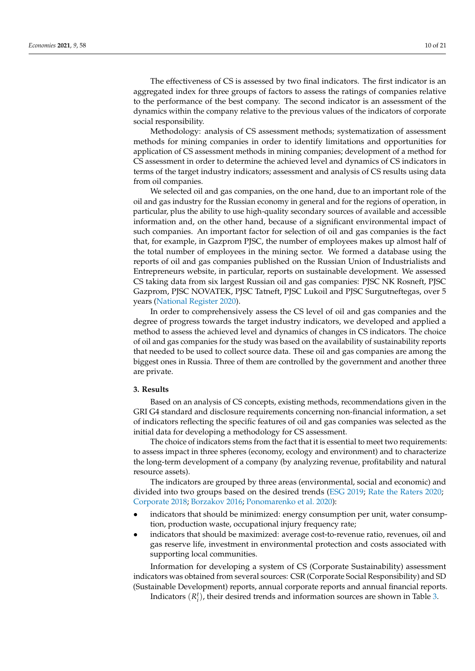The effectiveness of CS is assessed by two final indicators. The first indicator is an aggregated index for three groups of factors to assess the ratings of companies relative to the performance of the best company. The second indicator is an assessment of the dynamics within the company relative to the previous values of the indicators of corporate social responsibility.

Methodology: analysis of CS assessment methods; systematization of assessment methods for mining companies in order to identify limitations and opportunities for application of CS assessment methods in mining companies; development of a method for CS assessment in order to determine the achieved level and dynamics of CS indicators in terms of the target industry indicators; assessment and analysis of CS results using data from oil companies.

We selected oil and gas companies, on the one hand, due to an important role of the oil and gas industry for the Russian economy in general and for the regions of operation, in particular, plus the ability to use high-quality secondary sources of available and accessible information and, on the other hand, because of a significant environmental impact of such companies. An important factor for selection of oil and gas companies is the fact that, for example, in Gazprom PJSC, the number of employees makes up almost half of the total number of employees in the mining sector. We formed a database using the reports of oil and gas companies published on the Russian Union of Industrialists and Entrepreneurs website, in particular, reports on sustainable development. We assessed CS taking data from six largest Russian oil and gas companies: PJSC NK Rosneft, PJSC Gazprom, PJSC NOVATEK, PJSC Tatneft, PJSC Lukoil and PJSC Surgutneftegas, over 5 years [\(National Register](#page-19-29) [2020\)](#page-19-29).

In order to comprehensively assess the CS level of oil and gas companies and the degree of progress towards the target industry indicators, we developed and applied a method to assess the achieved level and dynamics of changes in CS indicators. The choice of oil and gas companies for the study was based on the availability of sustainability reports that needed to be used to collect source data. These oil and gas companies are among the biggest ones in Russia. Three of them are controlled by the government and another three are private.

#### <span id="page-9-0"></span>**3. Results**

Based on an analysis of CS concepts, existing methods, recommendations given in the GRI G4 standard and disclosure requirements concerning non-financial information, a set of indicators reflecting the specific features of oil and gas companies was selected as the initial data for developing a methodology for CS assessment.

The choice of indicators stems from the fact that it is essential to meet two requirements: to assess impact in three spheres (economy, ecology and environment) and to characterize the long-term development of a company (by analyzing revenue, profitability and natural resource assets).

The indicators are grouped by three areas (environmental, social and economic) and divided into two groups based on the desired trends [\(ESG](#page-18-15) [2019;](#page-18-15) [Rate the Raters](#page-19-25) [2020;](#page-19-25) [Corporate](#page-18-11) [2018;](#page-18-11) [Borzakov](#page-18-17) [2016;](#page-18-17) [Ponomarenko et al.](#page-19-0) [2020\)](#page-19-0):

- indicators that should be minimized: energy consumption per unit, water consumption, production waste, occupational injury frequency rate;
- indicators that should be maximized: average cost-to-revenue ratio, revenues, oil and gas reserve life, investment in environmental protection and costs associated with supporting local communities.

Information for developing a system of CS (Corporate Sustainability) assessment indicators was obtained from several sources: CSR (Corporate Social Responsibility) and SD (Sustainable Development) reports, annual corporate reports and annual financial reports.

Indicators  $(R_i^t)$ , their desired trends and information sources are shown in Table [3.](#page-10-0)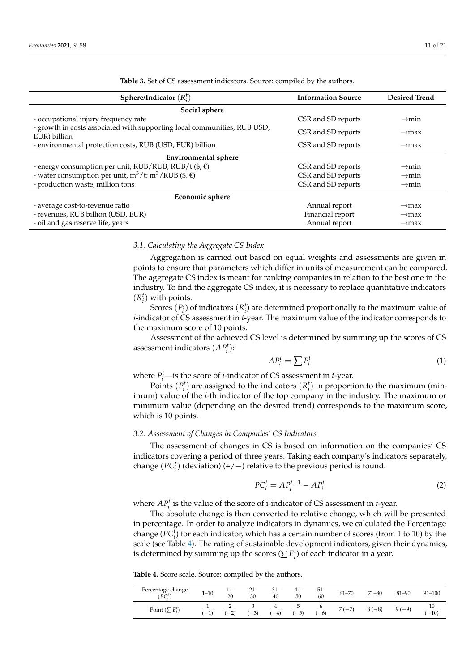<span id="page-10-0"></span>

| Sphere/Indicator $(R_i^t)$                                                               | <b>Information Source</b> | <b>Desired Trend</b> |
|------------------------------------------------------------------------------------------|---------------------------|----------------------|
| Social sphere                                                                            |                           |                      |
| - occupational injury frequency rate                                                     | CSR and SD reports        | $\rightarrow$ min    |
| - growth in costs associated with supporting local communities, RUB USD,<br>EUR) billion | CSR and SD reports        | $\rightarrow$ max    |
| - environmental protection costs, RUB (USD, EUR) billion                                 | CSR and SD reports        | $\rightarrow$ max    |
| <b>Environmental sphere</b>                                                              |                           |                      |
| - energy consumption per unit, RUB/RUB; RUB/t $(\$,\epsilon)$                            | CSR and SD reports        | $\rightarrow$ min    |
| - water consumption per unit, $m^3/t$ ; $m^3/RUB$ (\$, $\epsilon$ )                      | CSR and SD reports        | $\rightarrow$ min    |
| - production waste, million tons                                                         | CSR and SD reports        | $\rightarrow$ min    |
| <b>Economic sphere</b>                                                                   |                           |                      |
| - average cost-to-revenue ratio                                                          | Annual report             | $\rightarrow$ max    |
| - revenues, RUB billion (USD, EUR)                                                       | Financial report          | $\rightarrow$ max    |
| - oil and gas reserve life, years                                                        | Annual report             | $\rightarrow$ max    |

**Table 3.** Set of CS assessment indicators. Source: compiled by the authors.

#### *3.1. Calculating the Aggregate CS Index*

Aggregation is carried out based on equal weights and assessments are given in points to ensure that parameters which differ in units of measurement can be compared. The aggregate CS index is meant for ranking companies in relation to the best one in the industry. To find the aggregate CS index, it is necessary to replace quantitative indicators  $(R_i^t)$  with points.

Scores  $(P_i^t)$  of indicators  $(R_i^t)$  are determined proportionally to the maximum value of *i*-indicator of CS assessment in *t*-year. The maximum value of the indicator corresponds to the maximum score of 10 points.

Assessment of the achieved CS level is determined by summing up the scores of CS assessment indicators  $(AP_i^t)$ :

$$
AP_i^t = \sum P_i^t \tag{1}
$$

where  $P_i^t$  —is the score of *i*-indicator of CS assessment in *t*-year.

Points  $(P_i^t)$  are assigned to the indicators  $(R_i^t)$  in proportion to the maximum (minimum) value of the *i*-th indicator of the top company in the industry. The maximum or minimum value (depending on the desired trend) corresponds to the maximum score, which is 10 points.

#### *3.2. Assessment of Changes in Companies' CS Indicators*

The assessment of changes in CS is based on information on the companies' CS indicators covering a period of three years. Taking each company's indicators separately, change  $(PC_i^t)$  (deviation)  $(+/-)$  relative to the previous period is found.

$$
PC_i^t = AP_i^{t+1} - AP_i^t \tag{2}
$$

where  $AP_i^t$  is the value of the score of *i*-indicator of CS assessment in *t*-year.

The absolute change is then converted to relative change, which will be presented in percentage. In order to analyze indicators in dynamics, we calculated the Percentage change  $(PC<sub>i</sub><sup>t</sup>)$  for each indicator, which has a certain number of scores (from 1 to 10) by the scale (see Table [4\)](#page-10-1). The rating of sustainable development indicators, given their dynamics, is determined by summing up the scores ( $\sum E_i^t$ ) of each indicator in a year.

<span id="page-10-1"></span>**Table 4.** Score scale. Source: compiled by the authors.

| Percentage change $(PC_i^t)$ | $1 - 10$                        | $11 -$<br>20       | $21 -$<br>30 | 31–<br>40 | $41 -$<br>50 | $51 -$<br>60 | $61 - 70$ | $71 - 80$ | $81 - 90$ | $91 - 100$    |
|------------------------------|---------------------------------|--------------------|--------------|-----------|--------------|--------------|-----------|-----------|-----------|---------------|
| Point $(\sum E_i^t)$         | $\hspace{0.1mm}-\hspace{0.1mm}$ | $\bigcap$<br>$-21$ | $-3)$        | $(-4)$    | $(-5)$       | $(-6)$       | $7(-7)$   | $(-8)$    | $9(-9)$   | 10<br>$(-10)$ |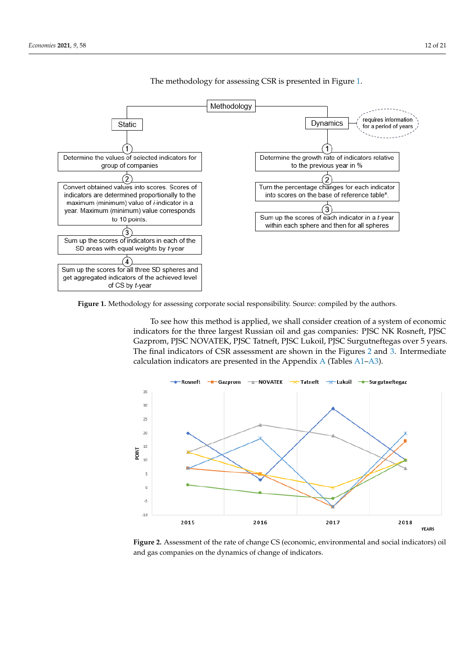<span id="page-11-0"></span>

The methodology for assessing CSR is presented in Figure [1.](#page-11-0) The methodology for assessing CSR is presented in Figure 1.

) 1–10 1 $\pm$ 10  $\pm$ 10  $\pm$ 10  $\pm$ 10  $\pm$ 10  $\pm$ 10  $\pm$ 10  $\pm$ 10  $\pm$ 100  $\pm$ 100  $\pm$ 100  $\pm$ 100  $\pm$ 100  $\pm$ 100  $\pm$ 100  $\pm$ 100  $\pm$ 100  $\pm$ 100  $\pm$ 100  $\pm$ 100  $\pm$ 100  $\pm$ 100  $\pm$ 100  $\pm$ 100  $\pm$ 100  $\pm$ 100  $\pm$ 100  $\pm$ 1

Percentage change (ܲܥ

**.** 

Figure 1. Methodology for assessing corporate social responsibility. Source: compiled by the authors.

To see how this method is applied, we shall consider creation of a system of economic indicators for the three largest Russian oil and gas companies: PJSC NK Rosneft, PJSC Gazprom, PJSC NOVATEK, PJSC Tatneft, PJSC Lukoil, PJSC Surgutneftegas over 5 years. T[he](#page-12-1) final indicators of CSR assessment are shown in the Figures 2 and 3. Intermediate calculation indicators are presented in the Appendix A (Tables  $A1-A3$ ).

<span id="page-11-1"></span>

**Figure 2.** Assessment of the rate of change CS (economic, environmental and social indicators) oil **Figure 2.** Assessment of the rate of change CS (economic, environmental and social indicators) oil and gas companies on the dynamics of change of indicators. and gas companies on the dynamics of change of indicators.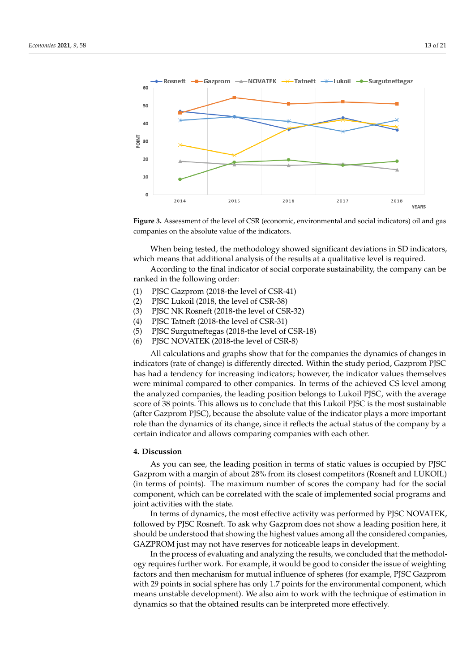<span id="page-12-1"></span>

**Figure 3.** Assessment of the level of CSR (economic, environmental and social indicators) oil and **Figure 3.** Assessment of the level of CSR (economic, environmental and social indicators) oil and gas companies on the absolute value of the indicators.

**4. Discussion**  When being tested, the methodology showed significant deviations in SD indicators,  $\alpha$  in the leading position in terms of the leading of a qualitative level is required. which means that additional analysis of the results at a qualitative level is required.

According to the final indicator of social corporate sustainability, the company can be ranked in the following order:

- (1) PJSC Gazprom (2018-the level of CSR-41)
- (2) PJSC Lukoil (2018, the level of CSR-38)
- $I(3)$  PJSC NK Rosneft (2018-the level of CSR-32)
- (4) PJSC Tatneft (2018-the level of CSR-31)  $\overline{a}$
- (5) PJSC Surgutneftegas (2018-the level of CSR-18)
- $(6)$  PJSC NOVATEK (2018-the level of CSR-8)

All calculations and graphs show that for the companies the dynamics of changes in indicators (rate of change) is differently directed. Within the study period, Gazprom PJSC has had a tendency for increasing indicators; however, the indicator values themselves were minimal compared to other companies. In terms of the achieved CS level among the analyzed companies, the leading position belongs to Lukoil PJSC, with the average score of 38 points. This allows us to conclude that this Lukoil PJSC is the most sustainable (after Gazprom PJSC), because the absolute value of the indicator plays a more important role than the dynamics of its change, since it reflects the actual status of the company by a certain indicator and allows comparing companies with each other.

#### <span id="page-12-0"></span> $\mathbf s$ cussion, this criterion, there are methods for assessing on assessing on assessing on assessing on assessing on assessing  $\mathbf s$ **4. Discussion**

As you can see, the leading position in terms of static values is occupied by PJSC Gazprom with a margin of about 28% from its closest competitors (Rosneft and LUKOIL) early combined with the analysis of the composition of economic conservation of the social (in terms of points). The maximum number of scores the company had for the social components. component, which can be correlated with the scale of implemented social programs and in the objective methods are aimed at monoid of the monitoring of the areas in the areas of the areas in the areas in the areas in the state.

In terms of dynamics, the most effective activity was performed by PJSC NOVATEK, followed by PJSC Rosneft. To ask why Gazprom does not show a leading position here, it should be understood that showing the highest values among all the considered companies, GAZPROM just may not have reserves for noticeable leaps in development.

In the process of evaluating and analyzing the results, we concluded that the methodology requires further work. For example, it would be good to consider the issue of weighting factors and then mechanism for mutual influence of spheres (for example, PJSC Gazprom with 29 points in social sphere has only 1.7 points for the environmental component, which means unstable development). We also aim to work with the technique of estimation in dynamics so that the obtained results can be interpreted more effectively.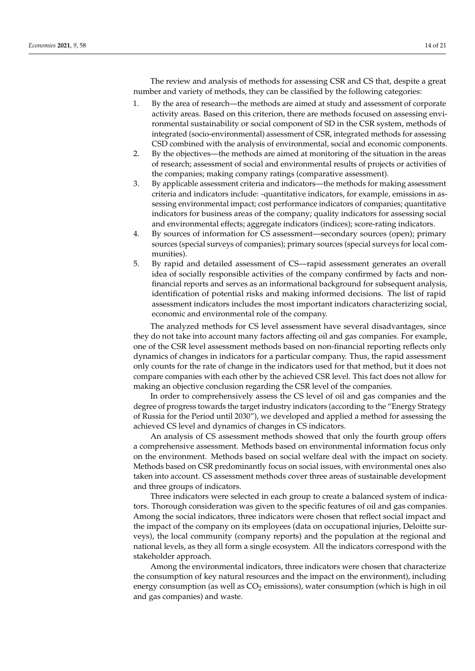The review and analysis of methods for assessing CSR and CS that, despite a great number and variety of methods, they can be classified by the following categories:

- 1. By the area of research—the methods are aimed at study and assessment of corporate activity areas. Based on this criterion, there are methods focused on assessing environmental sustainability or social component of SD in the CSR system, methods of integrated (socio-environmental) assessment of CSR, integrated methods for assessing CSD combined with the analysis of environmental, social and economic components.
- 2. By the objectives—the methods are aimed at monitoring of the situation in the areas of research; assessment of social and environmental results of projects or activities of the companies; making company ratings (comparative assessment).
- 3. By applicable assessment criteria and indicators—the methods for making assessment criteria and indicators include: -quantitative indicators, for example, emissions in assessing environmental impact; cost performance indicators of companies; quantitative indicators for business areas of the company; quality indicators for assessing social and environmental effects; aggregate indicators (indices); score-rating indicators.
- 4. By sources of information for CS assessment—secondary sources (open); primary sources (special surveys of companies); primary sources (special surveys for local communities).
- 5. By rapid and detailed assessment of CS—rapid assessment generates an overall idea of socially responsible activities of the company confirmed by facts and nonfinancial reports and serves as an informational background for subsequent analysis, identification of potential risks and making informed decisions. The list of rapid assessment indicators includes the most important indicators characterizing social, economic and environmental role of the company.

The analyzed methods for CS level assessment have several disadvantages, since they do not take into account many factors affecting oil and gas companies. For example, one of the CSR level assessment methods based on non-financial reporting reflects only dynamics of changes in indicators for a particular company. Thus, the rapid assessment only counts for the rate of change in the indicators used for that method, but it does not compare companies with each other by the achieved CSR level. This fact does not allow for making an objective conclusion regarding the CSR level of the companies.

In order to comprehensively assess the CS level of oil and gas companies and the degree of progress towards the target industry indicators (according to the "Energy Strategy of Russia for the Period until 2030"), we developed and applied a method for assessing the achieved CS level and dynamics of changes in CS indicators.

An analysis of CS assessment methods showed that only the fourth group offers a comprehensive assessment. Methods based on environmental information focus only on the environment. Methods based on social welfare deal with the impact on society. Methods based on CSR predominantly focus on social issues, with environmental ones also taken into account. CS assessment methods cover three areas of sustainable development and three groups of indicators.

Three indicators were selected in each group to create a balanced system of indicators. Thorough consideration was given to the specific features of oil and gas companies. Among the social indicators, three indicators were chosen that reflect social impact and the impact of the company on its employees (data on occupational injuries, Deloitte surveys), the local community (company reports) and the population at the regional and national levels, as they all form a single ecosystem. All the indicators correspond with the stakeholder approach.

Among the environmental indicators, three indicators were chosen that characterize the consumption of key natural resources and the impact on the environment), including energy consumption (as well as  $CO<sub>2</sub>$  emissions), water consumption (which is high in oil and gas companies) and waste.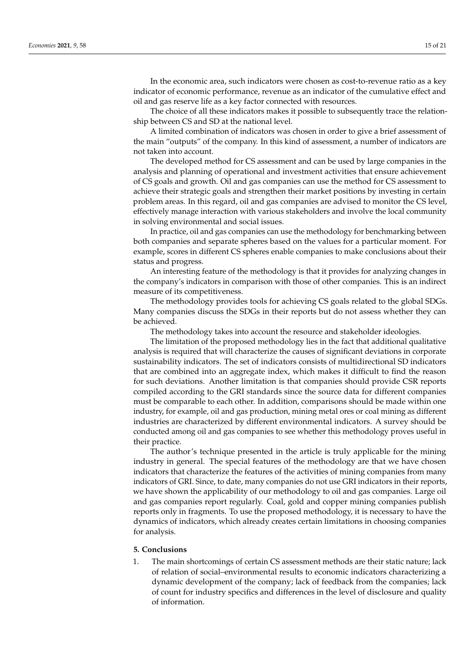In the economic area, such indicators were chosen as cost-to-revenue ratio as a key indicator of economic performance, revenue as an indicator of the cumulative effect and oil and gas reserve life as a key factor connected with resources.

The choice of all these indicators makes it possible to subsequently trace the relationship between CS and SD at the national level.

A limited combination of indicators was chosen in order to give a brief assessment of the main "outputs" of the company. In this kind of assessment, a number of indicators are not taken into account.

The developed method for CS assessment and can be used by large companies in the analysis and planning of operational and investment activities that ensure achievement of CS goals and growth. Oil and gas companies can use the method for CS assessment to achieve their strategic goals and strengthen their market positions by investing in certain problem areas. In this regard, oil and gas companies are advised to monitor the CS level, effectively manage interaction with various stakeholders and involve the local community in solving environmental and social issues.

In practice, oil and gas companies can use the methodology for benchmarking between both companies and separate spheres based on the values for a particular moment. For example, scores in different CS spheres enable companies to make conclusions about their status and progress.

An interesting feature of the methodology is that it provides for analyzing changes in the company's indicators in comparison with those of other companies. This is an indirect measure of its competitiveness.

The methodology provides tools for achieving CS goals related to the global SDGs. Many companies discuss the SDGs in their reports but do not assess whether they can be achieved.

The methodology takes into account the resource and stakeholder ideologies.

The limitation of the proposed methodology lies in the fact that additional qualitative analysis is required that will characterize the causes of significant deviations in corporate sustainability indicators. The set of indicators consists of multidirectional SD indicators that are combined into an aggregate index, which makes it difficult to find the reason for such deviations. Another limitation is that companies should provide CSR reports compiled according to the GRI standards since the source data for different companies must be comparable to each other. In addition, comparisons should be made within one industry, for example, oil and gas production, mining metal ores or coal mining as different industries are characterized by different environmental indicators. A survey should be conducted among oil and gas companies to see whether this methodology proves useful in their practice.

The author's technique presented in the article is truly applicable for the mining industry in general. The special features of the methodology are that we have chosen indicators that characterize the features of the activities of mining companies from many indicators of GRI. Since, to date, many companies do not use GRI indicators in their reports, we have shown the applicability of our methodology to oil and gas companies. Large oil and gas companies report regularly. Coal, gold and copper mining companies publish reports only in fragments. To use the proposed methodology, it is necessary to have the dynamics of indicators, which already creates certain limitations in choosing companies for analysis.

#### <span id="page-14-0"></span>**5. Conclusions**

1. The main shortcomings of certain CS assessment methods are their static nature; lack of relation of social–environmental results to economic indicators characterizing a dynamic development of the company; lack of feedback from the companies; lack of count for industry specifics and differences in the level of disclosure and quality of information.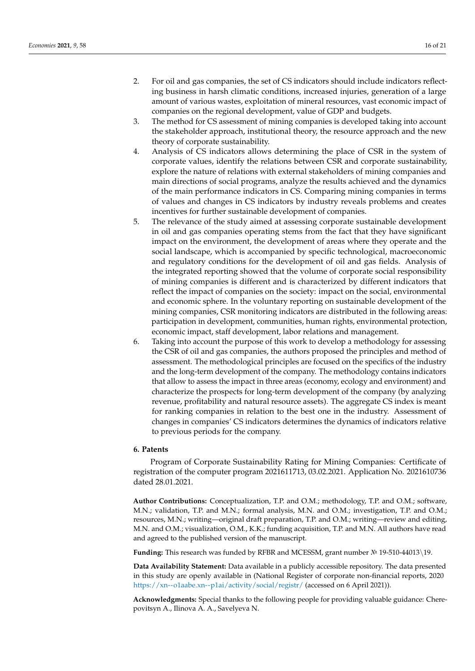- 2. For oil and gas companies, the set of CS indicators should include indicators reflecting business in harsh climatic conditions, increased injuries, generation of a large amount of various wastes, exploitation of mineral resources, vast economic impact of companies on the regional development, value of GDP and budgets.
- 3. The method for CS assessment of mining companies is developed taking into account the stakeholder approach, institutional theory, the resource approach and the new theory of corporate sustainability.
- 4. Analysis of CS indicators allows determining the place of CSR in the system of corporate values, identify the relations between CSR and corporate sustainability, explore the nature of relations with external stakeholders of mining companies and main directions of social programs, analyze the results achieved and the dynamics of the main performance indicators in CS. Comparing mining companies in terms of values and changes in CS indicators by industry reveals problems and creates incentives for further sustainable development of companies.
- 5. The relevance of the study aimed at assessing corporate sustainable development in oil and gas companies operating stems from the fact that they have significant impact on the environment, the development of areas where they operate and the social landscape, which is accompanied by specific technological, macroeconomic and regulatory conditions for the development of oil and gas fields. Analysis of the integrated reporting showed that the volume of corporate social responsibility of mining companies is different and is characterized by different indicators that reflect the impact of companies on the society: impact on the social, environmental and economic sphere. In the voluntary reporting on sustainable development of the mining companies, CSR monitoring indicators are distributed in the following areas: participation in development, communities, human rights, environmental protection, economic impact, staff development, labor relations and management.
- 6. Taking into account the purpose of this work to develop a methodology for assessing the CSR of oil and gas companies, the authors proposed the principles and method of assessment. The methodological principles are focused on the specifics of the industry and the long-term development of the company. The methodology contains indicators that allow to assess the impact in three areas (economy, ecology and environment) and characterize the prospects for long-term development of the company (by analyzing revenue, profitability and natural resource assets). The aggregate CS index is meant for ranking companies in relation to the best one in the industry. Assessment of changes in companies' CS indicators determines the dynamics of indicators relative to previous periods for the company.

### **6. Patents**

Program of Corporate Sustainability Rating for Mining Companies: Certificate of registration of the computer program 2021611713, 03.02.2021. Application No. 2021610736 dated 28.01.2021.

**Author Contributions:** Conceptualization, T.P. and O.M.; methodology, T.P. and O.M.; software, M.N.; validation, T.P. and M.N.; formal analysis, M.N. and O.M.; investigation, T.P. and O.M.; resources, M.N.; writing—original draft preparation, T.P. and O.M.; writing—review and editing, M.N. and O.M.; visualization, O.M., K.K.; funding acquisition, T.P. and M.N. All authors have read and agreed to the published version of the manuscript.

**Funding:** This research was funded by RFBR and MCESSM, grant number № 19-510-44013\19.

**Data Availability Statement:** Data available in a publicly accessible repository. The data presented in this study are openly available in (National Register of corporate non-financial reports, 2020 <https://xn--o1aabe.xn--p1ai/activity/social/registr/> (accessed on 6 April 2021)).

**Acknowledgments:** Special thanks to the following people for providing valuable guidance: Cherepovitsyn A., Ilinova A. A., Savelyeva N.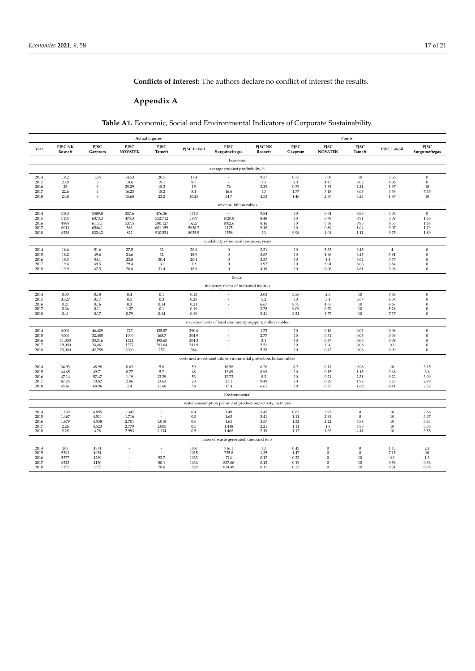## **Conflicts of Interest:** The authors declare no conflict of interest the results.

# <span id="page-16-0"></span>**Appendix A**

**Table A1.** Economic, Social and Environmental Indicators of Corporate Sustainability.

<span id="page-16-1"></span>

|                                  | <b>Actual Figures</b>   |                  |                        |                   |                | Points                                                             |                    |                 |                        |                             |                |                              |
|----------------------------------|-------------------------|------------------|------------------------|-------------------|----------------|--------------------------------------------------------------------|--------------------|-----------------|------------------------|-----------------------------|----------------|------------------------------|
| Year                             | PJSC NK<br>Rosneft      | PISC<br>Gazprom  | PISC<br><b>NOVATEK</b> | PISC<br>Tatneft   | PJSC Lukoil    | PISC<br>Surgutneftegas                                             | PJSC NK<br>Rosneft | PISC<br>Gazprom | PISC<br><b>NOVATEK</b> | PJSC<br>Tatneft             | PJSC Lukoil    | PISC<br>Surgutneftegas       |
|                                  |                         |                  |                        |                   |                | Economic                                                           |                    |                 |                        |                             |                |                              |
| average product profitobility, % |                         |                  |                        |                   |                |                                                                    |                    |                 |                        |                             |                |                              |
| 2014                             | 19.2                    | 1.54             | 14.53                  | 20.5              | 11.4           |                                                                    | 9.37               | 0.75            | 7.09                   | 10                          | 5.56           | $\boldsymbol{0}$             |
| 2015                             | 23.8                    | 5                | 10.6                   | 19.1              | 9.7            |                                                                    | 10                 | 2.1             | 4.45                   | 8.03                        | 4.08           | $\mathbf{0}$                 |
| 2016                             | $25\,$                  | 6                | 29.29                  | 18.3              | $15\,$         | 76                                                                 | 3.29               | 0.79            | 3.85                   | 2.41                        | 1.97           | 10                           |
| 2017                             | 22.6                    | $\overline{4}$   | 16.23                  | 18.2              | $8.1\,$        | 16.6                                                               | $10\,$             | 1.77            | 7.18                   | 8.05                        | 3.58           | 7.35                         |
| 2018                             | 24.8                    | 8                | 15.68                  | 23.2              | 10.25          | 54.7                                                               | 4.53               | 1.46            | 2.87                   | 4.24                        | 1.87           | 10                           |
|                                  | revenue, billion rubles |                  |                        |                   |                |                                                                    |                    |                 |                        |                             |                |                              |
| 2014<br>2015                     | 5503<br>5150            | 5589.8<br>6073.3 | 357.6<br>475.3         | 476.36<br>552.712 | 1710<br>1877   | 1020.8                                                             | 9.84<br>8.48       | 10<br>10        | 0.64<br>0.78           | 0.85<br>0.91                | 3.06<br>3.09   | $\mathbf{0}$<br>1.68         |
| 2016                             | 4988                    | 6111.1           | 537.5                  | 580.127           | 5227           | 1002.6                                                             | 8.16               | 10              | 0.88                   | 0.95                        | 8.55           | 1.64                         |
| 2017                             | 6011                    | 6546.1           | 583                    | 681.159           | 5936.7         | 1175                                                               | 9.18               | 10              | 0.89                   | 1.04                        | 9.07           | 1.79                         |
| 2018                             | 8238                    | 8224.2           | 832                    | 910.534           | 8035.9         | 1556                                                               | 10                 | 9.98            | 1.01                   | 1.11                        | 9.75           | 1.89                         |
|                                  |                         |                  |                        |                   |                | availability of mineral resources, years                           |                    |                 |                        |                             |                |                              |
| 2014                             | 16.6                    | 51.6             | 27.5                   | 32                | 20.6           | $\theta$                                                           | 3.21               | 10              | 5.33                   | 6.15                        | $\overline{4}$ | $\boldsymbol{0}$             |
| 2015                             | 18.2                    | 49.6             | 24.6                   | 32                | 18.9           | $\boldsymbol{0}$                                                   | 3.67               | 10              | 4.96                   | 6.45                        | 3.81           | $\boldsymbol{0}$             |
| 2016                             | 19.3                    | 54.1             | 23.8                   | 30.4              | 20.4           | $\mathbf{0}$                                                       | 3.57               | $10\,$          | $4.4\,$                | 5.62                        | 3.77           | $\boldsymbol{0}$             |
| 2017                             | 19.4                    | 49.5             | 29.4                   | $30\,$            | 19             | $\boldsymbol{0}$                                                   | 3.92               | $10\,$          | 5.94                   | 6.06                        | 3.84           | $\boldsymbol{0}$             |
| 2018                             | 19.9                    | 47.5             | 28.8                   | 31.4              | 18.9           | 0                                                                  | 4.19               | $10\,$          | 6.06                   | 6.61                        | 3.98           | $\boldsymbol{0}$             |
|                                  |                         |                  |                        |                   |                | Social                                                             |                    |                 |                        |                             |                |                              |
|                                  |                         |                  |                        |                   |                | frequency factor of industrial injuries                            |                    |                 |                        |                             |                |                              |
| 2014                             | 0.33                    | 0.18             | 0.4                    | 0.1               | 0.13           |                                                                    | 3.03               | 5.56            | 2.5                    | 10                          | 7.69           | $\boldsymbol{0}$             |
| 2015                             | 0.327                   | 0.17             | 0.5                    | 0.3               | 0.28           |                                                                    | 5.2                | 10              | 3.4                    | 5.67                        | 6.07           | $\boldsymbol{0}$             |
| 2016<br>2017                     | 0.21<br>0.36            | 0.16<br>0.11     | 0.3<br>1.27            | 0.14<br>0.1       | 0.21<br>0.19   |                                                                    | 6.67<br>2.78       | 8.75<br>9.09    | 4.67<br>0.79           | 10<br>10                    | 6.67<br>5.26   | $\Omega$<br>$\boldsymbol{0}$ |
| 2018                             | 0.41                    | 0.17             | 0.79                   | 0.14              | 0.19           |                                                                    | 3.41               | 8.24            | 1.77                   | 10                          | 7.37           | $\boldsymbol{0}$             |
|                                  |                         |                  |                        |                   |                | increased costs of local community support, million rubles         |                    |                 |                        |                             |                |                              |
| 2014                             | 8000                    | 46,429           | 727                    | 135.87            | 290.6          |                                                                    | 1.72               | 10              | 0.16                   | 0.03                        | 0.06           | $\boldsymbol{0}$             |
| 2015                             | 9000                    | 32,485           | 1000                   | 165.7             | 304.9          |                                                                    | 2.77               | 10              | 0.31                   | 0.05                        | 0.09           | $\mathbf{0}$                 |
| 2016                             | 11,000                  | 35,516           | 1324                   | 195.65            | 304.3          |                                                                    | 3.1                | $10\,$          | 0.37                   | 0.06                        | 0.09           | $\boldsymbol{0}$             |
| 2017                             | 19,000                  | 34,461           | 1377                   | 281.64            | 341.9          |                                                                    | 5.51               | 10              | 0.4                    | 0.08                        | 0.1            | $\boldsymbol{0}$             |
| 2018                             | 23,000                  | 42,789           | 2000                   | 257               | 384            |                                                                    | 5.38               | 10              | 0.47                   | 0.06                        | 0.09           | $\boldsymbol{0}$             |
|                                  |                         |                  |                        |                   |                | costs and investment into environmental protection, billion rubles |                    |                 |                        |                             |                |                              |
| 2014                             | 36.93                   | 48.98            | 0.63                   | $5.8\,$           | 59             | 18.58                                                              | 6.26               | 8.3             | 0.11                   | 0.98                        | 10             | 3.15                         |
| 2015                             | 44.65                   | 49.71            | 0.77                   | 5.7               | $48\,$         | 17.89                                                              | 8.98               | $10\,$          | 0.15                   | 1.15                        | 9.66           | 3.6                          |
| 2016                             | 47.14                   | 57.47            | 1.19                   | 13.29             | 53             | 17.73                                                              | 8.2                | 10              | 0.21                   | 2.31                        | 9.22           | 3.09                         |
| 2017<br>2018                     | 67.24<br>45.61          | 70.82<br>68.96   | 2.06<br>2.4            | 13.63<br>11.68    | 23<br>58       | 21.1<br>17.4                                                       | 9.49<br>6.61       | 10<br>10        | 0.29<br>0.35           | 1.92<br>1.69                | 3.25<br>8.41   | 2.98<br>2.52                 |
|                                  |                         |                  |                        |                   |                | Environmental                                                      |                    |                 |                        |                             |                |                              |
|                                  |                         |                  |                        |                   |                | water consumption per unit of production/activity; m3/tons         |                    |                 |                        |                             |                |                              |
|                                  |                         |                  |                        |                   |                |                                                                    |                    |                 |                        |                             |                |                              |
| 2014<br>2015                     | 1.159<br>1.467          | 4.895<br>4.511   | 1.347<br>1.716         | ÷                 | $0.4\,$<br>0.5 | 1.49<br>1.63                                                       | 3.45<br>3.41       | 0.82<br>1.11    | 2.97<br>2.91           | $\boldsymbol{0}$<br>$\bf 0$ | 10<br>$10\,$   | 2.68<br>3.07                 |
| 2016                             | 1.679                   | 4.538            | 2.701                  | 1.018             | 0.6            | 1.65                                                               | 3.57               | 1.32            | 2.22                   | 5.89                        | 10             | 3.64                         |
| 2017                             | 2.26                    | 4.523            | 2.779                  | 1.005             | 0.5            | 1.418                                                              | 2.21               | 1.11            | 1.8                    | 4.98                        | 10             | 3.53                         |
| 2018                             | 2.28                    | 4.28             | 2.993                  | 1.134             | 0.5            | 1.408                                                              | 2.19               | 1.17            | 1.67                   | 4.41                        | 10             | 3.55                         |
|                                  |                         |                  |                        |                   |                | mass of waste generated, thousand tons                             |                    |                 |                        |                             |                |                              |
| 2014                             | 208                     | 4831             |                        |                   | 1437           | 716.1                                                              | 10                 | 0.43            | $\theta$               | $\bf 0$                     | 1.45           | 2.9                          |
| 2015                             | 5393                    | 4954             |                        |                   | 1015           | 725.8                                                              | 1.35               | 1.47            | $\mathbf{0}$           | $\bf{0}$                    | 7.15           | 10                           |
| 2016                             | 5377                    | 4289             |                        | 92.7              | 1033           | 714                                                                | 0.17               | 0.22            | $\Omega$               | 10                          | 0.9            | 1.3                          |
| 2017                             | 6325                    | 4130             |                        | 80.1              | 1434           | 837.66                                                             | 0.13               | 0.19            | $\mathbf{0}$           | 10                          | 0.56           | 0.96                         |
| 2018                             | 7155                    | 3555             |                        | 78.6              | 1529           | 824.49                                                             | 0.11               | 0.22            | $\mathbf{0}$           | 10                          | 0.51           | 0.95                         |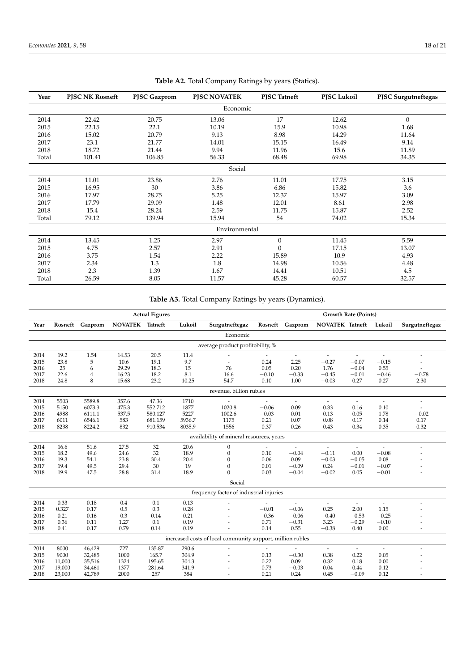| Year     | <b>PJSC NK Rosneft</b> | PJSC Gazprom | PISC NOVATEK  | <b>PJSC</b> Tatneft | PJSC Lukoil | PJSC Surgutneftegas |  |  |  |  |
|----------|------------------------|--------------|---------------|---------------------|-------------|---------------------|--|--|--|--|
| Economic |                        |              |               |                     |             |                     |  |  |  |  |
| 2014     | 22.42                  | 20.75        | 13.06         | 17                  | 12.62       | $\mathbf{0}$        |  |  |  |  |
| 2015     | 22.15                  | 22.1         | 10.19         | 15.9                | 10.98       | 1.68                |  |  |  |  |
| 2016     | 15.02                  | 20.79        | 9.13          | 8.98                | 14.29       | 11.64               |  |  |  |  |
| 2017     | 23.1                   | 21.77        | 14.01         | 15.15               | 16.49       | 9.14                |  |  |  |  |
| 2018     | 18.72                  | 21.44        | 9.94          | 11.96               | 15.6        | 11.89               |  |  |  |  |
| Total    | 101.41                 | 106.85       | 56.33         | 68.48               | 69.98       | 34.35               |  |  |  |  |
| Social   |                        |              |               |                     |             |                     |  |  |  |  |
| 2014     | 11.01                  | 23.86        | 2.76          | 11.01               | 17.75       | 3.15                |  |  |  |  |
| 2015     | 16.95                  | 30           | 3.86          | 6.86                | 15.82       | 3.6                 |  |  |  |  |
| 2016     | 17.97                  | 28.75        | 5.25          | 12.37               | 15.97       | 3.09                |  |  |  |  |
| 2017     | 17.79                  | 29.09        | 1.48          | 12.01               | 8.61        | 2.98                |  |  |  |  |
| 2018     | 15.4                   | 28.24        | 2.59          | 11.75               | 15.87       | 2.52                |  |  |  |  |
| Total    | 79.12                  | 139.94       | 15.94         | 54                  | 74.02       | 15.34               |  |  |  |  |
|          |                        |              | Environmental |                     |             |                     |  |  |  |  |
| 2014     | 13.45                  | 1.25         | 2.97          | $\theta$            | 11.45       | 5.59                |  |  |  |  |
| 2015     | 4.75                   | 2.57         | 2.91          | $\Omega$            | 17.15       | 13.07               |  |  |  |  |
| 2016     | 3.75                   | 1.54         | 2.22          | 15.89               | 10.9        | 4.93                |  |  |  |  |
| 2017     | 2.34                   | 1.3          | 1.8           | 14.98               | 10.56       | 4.48                |  |  |  |  |
| 2018     | 2.3                    | 1.39         | 1.67          | 14.41               | 10.51       | 4.5                 |  |  |  |  |
| Total    | 26.59                  | 8.05         | 11.57         | 45.28               | 60.57       | 32.57               |  |  |  |  |

**Table A2.** Total Company Ratings by years (Statics).

**Table A3.** Total Company Ratings by years (Dynamics).

|      | <b>Actual Figures</b> |                 |                 |         |        | <b>Growth Rate (Points)</b>                                |         |                          |                          |                          |                |                |
|------|-----------------------|-----------------|-----------------|---------|--------|------------------------------------------------------------|---------|--------------------------|--------------------------|--------------------------|----------------|----------------|
| Year |                       | Rosneft Gazprom | NOVATEK Tatneft |         | Lukoil | Surgutneftegaz                                             |         | Rosneft Gazprom          | NOVATEK Tatneft          |                          | Lukoil         | Surgutneftegaz |
|      |                       |                 |                 |         |        | Economic                                                   |         |                          |                          |                          |                |                |
|      |                       |                 |                 |         |        | average product profitobility, %                           |         |                          |                          |                          |                |                |
| 2014 | 19.2                  | 1.54            | 14.53           | 20.5    | 11.4   |                                                            |         | $\overline{\phantom{a}}$ | $\overline{\phantom{a}}$ | $\overline{\phantom{a}}$ | $\overline{a}$ | $\overline{a}$ |
| 2015 | 23.8                  | 5               | 10.6            | 19.1    | 9.7    |                                                            | 0.24    | 2.25                     | $-0.27$                  | $-0.07$                  | $-0.15$        |                |
| 2016 | 25                    | 6               | 29.29           | 18.3    | 15     | 76                                                         | 0.05    | 0.20                     | 1.76                     | $-0.04$                  | 0.55           |                |
| 2017 | 22.6                  | $\overline{4}$  | 16.23           | 18.2    | 8.1    | 16.6                                                       | $-0.10$ | $-0.33$                  | $-0.45$                  | $-0.01$                  | $-0.46$        | $-0.78$        |
| 2018 | 24.8                  | 8               | 15.68           | 23.2    | 10.25  | 54.7                                                       | 0.10    | 1.00                     | $-0.03$                  | 0.27                     | 0.27           | 2.30           |
|      |                       |                 |                 |         |        | revenue, billion rubles                                    |         |                          |                          |                          |                |                |
| 2014 | 5503                  | 5589.8          | 357.6           | 47.36   | 1710   |                                                            |         | $\sim$                   | $\overline{\phantom{a}}$ | $\sim$                   | $\overline{a}$ |                |
| 2015 | 5150                  | 6073.3          | 475.3           | 552.712 | 1877   | 1020.8                                                     | $-0.06$ | 0.09                     | 0.33                     | 0.16                     | 0.10           |                |
| 2016 | 4988                  | 6111.1          | 537.5           | 580.127 | 5227   | 1002.6                                                     | $-0.03$ | 0.01                     | 0.13                     | 0.05                     | 1.78           | $-0.02$        |
| 2017 | 6011                  | 6546.1          | 583             | 681.159 | 5936.7 | 1175                                                       | 0.21    | 0.07                     | 0.08                     | 0.17                     | 0.14           | 0.17           |
| 2018 | 8238                  | 8224.2          | 832             | 910.534 | 8035.9 | 1556                                                       | 0.37    | 0.26                     | 0.43                     | 0.34                     | 0.35           | 0.32           |
|      |                       |                 |                 |         |        | availability of mineral resources, years                   |         |                          |                          |                          |                |                |
| 2014 | 16.6                  | 51.6            | 27.5            | 32      | 20.6   | $\boldsymbol{0}$                                           |         |                          | $\overline{\phantom{a}}$ | $\sim$                   | $\overline{a}$ |                |
| 2015 | 18.2                  | 49.6            | 24.6            | 32      | 18.9   | $\mathbf{0}$                                               | 0.10    | $-0.04$                  | $-0.11$                  | 0.00                     | $-0.08$        |                |
| 2016 | 19.3                  | 54.1            | 23.8            | 30.4    | 20.4   | $\boldsymbol{0}$                                           | 0.06    | 0.09                     | $-0.03$                  | $-0.05$                  | 0.08           |                |
| 2017 | 19.4                  | 49.5            | 29.4            | $30\,$  | 19     | $\boldsymbol{0}$                                           | 0.01    | $-0.09$                  | 0.24                     | $-0.01$                  | $-0.07$        |                |
| 2018 | 19.9                  | 47.5            | 28.8            | 31.4    | 18.9   | $\Omega$                                                   | 0.03    | $-0.04$                  | $-0.02$                  | 0.05                     | $-0.01$        | $\overline{a}$ |
|      |                       |                 |                 |         |        | Social                                                     |         |                          |                          |                          |                |                |
|      |                       |                 |                 |         |        | frequency factor of industrial injuries                    |         |                          |                          |                          |                |                |
| 2014 | 0.33                  | 0.18            | 0.4             | 0.1     | 0.13   |                                                            |         |                          |                          |                          |                |                |
| 2015 | 0.327                 | 0.17            | 0.5             | 0.3     | 0.28   |                                                            | $-0.01$ | $-0.06$                  | 0.25                     | 2.00                     | 1.15           |                |
| 2016 | 0.21                  | 0.16            | 0.3             | 0.14    | 0.21   |                                                            | $-0.36$ | $-0.06$                  | $-0.40$                  | $-0.53$                  | $-0.25$        |                |
| 2017 | 0.36                  | 0.11            | 1.27            | 0.1     | 0.19   |                                                            | 0.71    | $-0.31$                  | 3.23                     | $-0.29$                  | $-0.10$        |                |
| 2018 | 0.41                  | 0.17            | 0.79            | 0.14    | 0.19   |                                                            | 0.14    | 0.55                     | $-0.38$                  | 0.40                     | 0.00           |                |
|      |                       |                 |                 |         |        | increased costs of local community support, million rubles |         |                          |                          |                          |                |                |
| 2014 | 8000                  | 46,429          | 727             | 135.87  | 290.6  |                                                            |         |                          | $\overline{\phantom{a}}$ |                          |                |                |
| 2015 | 9000                  | 32,485          | 1000            | 165.7   | 304.9  |                                                            | 0.13    | $-0.30$                  | 0.38                     | 0.22                     | 0.05           |                |
| 2016 | 11,000                | 35,516          | 1324            | 195.65  | 304.3  |                                                            | 0.22    | 0.09                     | 0.32                     | 0.18                     | 0.00           |                |
| 2017 | 19,000                | 34,461          | 1377            | 281.64  | 341.9  |                                                            | 0.73    | $-0.03$                  | 0.04                     | 0.44                     | 0.12           |                |
| 2018 | 23,000                | 42,789          | 2000            | 257     | 384    |                                                            | 0.21    | 0.24                     | 0.45                     | $-0.09$                  | 0.12           |                |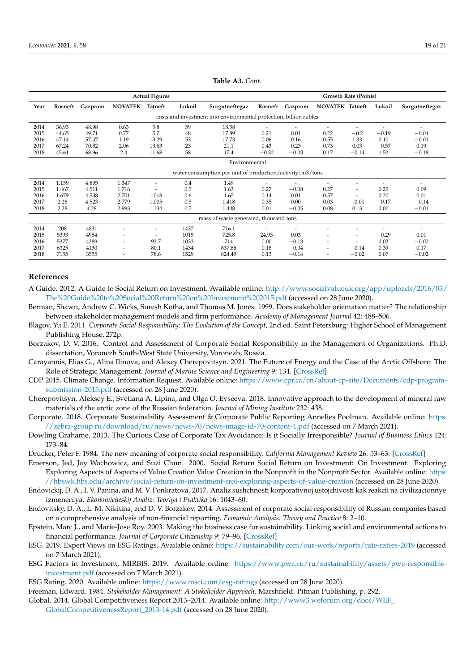<span id="page-18-19"></span>

|      | <b>Actual Figures</b>                                              |         |                          |                          |        |                                                            |                          | <b>Growth Rate (Points)</b> |                          |                          |         |                |
|------|--------------------------------------------------------------------|---------|--------------------------|--------------------------|--------|------------------------------------------------------------|--------------------------|-----------------------------|--------------------------|--------------------------|---------|----------------|
| Year | Rosneft                                                            | Gazprom | <b>NOVATEK</b>           | Tatneft                  | Lukoil | Surgutneftegaz                                             |                          | Rosneft Gazprom             | <b>NOVATEK Tatneft</b>   |                          | Lukoil  | Surgutneftegaz |
|      | costs and investment into environmental protection, billion rubles |         |                          |                          |        |                                                            |                          |                             |                          |                          |         |                |
| 2014 | 36.93                                                              | 48.98   | 0.63                     | 5.8                      | 59     | 18.58                                                      | $\overline{\phantom{0}}$ |                             | $\overline{\phantom{a}}$ |                          |         | ٠              |
| 2015 | 44.65                                                              | 49.71   | 0.77                     | 5.7                      | 48     | 17.89                                                      | 0.21                     | 0.01                        | 0.22                     | $-0.2$                   | $-0.19$ | $-0.04$        |
| 2016 | 47.14                                                              | 57.47   | 1.19                     | 13.29                    | 53     | 17.73                                                      | 0.06                     | 0.16                        | 0.55                     | 1.33                     | 0.10    | $-0.01$        |
| 2017 | 67.24                                                              | 70.82   | 2.06                     | 13.63                    | 23     | 21.1                                                       | 0.43                     | 0.23                        | 0.73                     | 0.03                     | $-0.57$ | 0.19           |
| 2018 | 45.61                                                              | 68.96   | 2.4                      | 11.68                    | 58     | 17.4                                                       | $-0.32$                  | $-0.03$                     | 0.17                     | $-0.14$                  | 1.52    | $-0.18$        |
|      | Environmental                                                      |         |                          |                          |        |                                                            |                          |                             |                          |                          |         |                |
|      |                                                                    |         |                          |                          |        | water consumption per unit of production/activity; m3/tons |                          |                             |                          |                          |         |                |
| 2014 | 1.159                                                              | 4.895   | 1.347                    | $\overline{\phantom{a}}$ | 0.4    | 1.49                                                       |                          |                             |                          | ٠                        |         | ٠              |
| 2015 | 1.467                                                              | 4.511   | 1.716                    | -                        | 0.5    | 1.63                                                       | 0.27                     | $-0.08$                     | 0.27                     | ۰                        | 0.25    | 0.09           |
| 2016 | 1.679                                                              | 4.538   | 2.701                    | 1.018                    | 0.6    | 1.65                                                       | 0.14                     | 0.01                        | 0.57                     | $\overline{\phantom{a}}$ | 0.20    | 0.01           |
| 2017 | 2.26                                                               | 4.523   | 2.779                    | 1.005                    | 0.5    | 1.418                                                      | 0.35                     | 0.00                        | 0.03                     | $-0.01$                  | $-0.17$ | $-0.14$        |
| 2018 | 2.28                                                               | 4.28    | 2.993                    | 1.134                    | 0.5    | 1.408                                                      | 0.01                     | $-0.05$                     | 0.08                     | 0.13                     | 0.00    | $-0.01$        |
|      |                                                                    |         |                          |                          |        | mass of waste generated, thousand tons                     |                          |                             |                          |                          |         |                |
| 2014 | 208                                                                | 4831    |                          | ۰                        | 1437   | 716.1                                                      |                          |                             |                          |                          |         |                |
| 2015 | 5393                                                               | 4954    | ٠                        | -                        | 1015   | 725.8                                                      | 24.93                    | 0.03                        |                          | -                        | $-0.29$ | 0.01           |
| 2016 | 5377                                                               | 4289    | $\overline{\phantom{0}}$ | 92.7                     | 1033   | 714                                                        | 0.00                     | $-0.13$                     | $\overline{\phantom{a}}$ | $\overline{\phantom{a}}$ | 0.02    | $-0.02$        |
| 2017 | 6325                                                               | 4130    | ٠                        | 80.1                     | 1434   | 837.66                                                     | 0.18                     | $-0.04$                     | $\overline{\phantom{a}}$ | $-0.14$                  | 0.39    | 0.17           |
| 2018 | 7155                                                               | 3555    |                          | 78.6                     | 1529   | 824.49                                                     | 0.13                     | $-0.14$                     | $\overline{\phantom{a}}$ | $-0.02$                  | 0.07    | $-0.02$        |

**Table A3.** *Cont.*

#### **References**

- <span id="page-18-8"></span>A Guide. 2012. A Guide to Social Return on Investment. Available online: [http://www.socialvalueuk.org/app/uploads/2016/03/](http://www.socialvalueuk.org/app/uploads/2016/03/The%20Guide%20to%20Social%20Return%20on%20Investment%202015.pdf) [The%20Guide%20to%20Social%20Return%20on%20Investment%202015.pdf](http://www.socialvalueuk.org/app/uploads/2016/03/The%20Guide%20to%20Social%20Return%20on%20Investment%202015.pdf) (accessed on 28 June 2020).
- <span id="page-18-2"></span>Berman, Shawn, Andrew C. Wicks, Suresh Kotha, and Thomas M. Jones. 1999. Does stakeholder orientation matter? The relationship between stakeholder management models and firm performance. *Academy of Management Journal* 42: 488–506.
- <span id="page-18-3"></span>Blagov, Yu E. 2011. *Corporate Social Responsibility: The Evolution of the Concept*, 2nd ed. Saint Petersburg: Higher School of Management Publishing House, 272p.
- <span id="page-18-17"></span>Borzakov, D. V. 2016. Control and Assessment of Corporate Social Responsibility in the Management of Organizations. Ph.D. dissertation, Voronezh South-West State University, Voronezh, Russia.
- <span id="page-18-14"></span>Carayannis, Elias G., Alina Ilinova, and Alexey Cherepovitsyn. 2021. The Future of Energy and the Case of the Arctic Offshore: The Role of Strategic Management. *Journal of Marine Science and Engineering* 9: 134. [\[CrossRef\]](http://doi.org/10.3390/jmse9020134)
- <span id="page-18-6"></span>CDP. 2015. Climate Change. Information Request. Available online: [https://www.cpr.ca/en/about-cp-site/Documents/cdp-program](https://www.cpr.ca/en/about-cp-site/Documents/cdp-program-submission-2015.pdf)[submission-2015.pdf](https://www.cpr.ca/en/about-cp-site/Documents/cdp-program-submission-2015.pdf) (accessed on 28 June 2020).
- <span id="page-18-13"></span>Cherepovitsyn, Aleksey E., Svetlana A. Lipina, and Olga O. Evseeva. 2018. Innovative approach to the development of mineral raw materials of the arctic zone of the Russian federation. *Journal of Mining Institute* 232: 438.
- <span id="page-18-11"></span>Corporate. 2018. Corporate Sustainability Assessment & Corporate Public Reporting Annelies Poolman. Available online: [https:](https://zebra-group.ru/download/ru/news/news-70/news-image-id-70-content-1.pdf) [//zebra-group.ru/download/ru/news/news-70/news-image-id-70-content-1.pdf](https://zebra-group.ru/download/ru/news/news-70/news-image-id-70-content-1.pdf) (accessed on 7 March 2021).
- <span id="page-18-9"></span>Dowling Grahame. 2013. The Curious Case of Corporate Tax Avoidance: Is it Socially Irresponsible? *Journal of Business Ethics* 124: 173–84.
- <span id="page-18-1"></span>Drucker, Peter F. 1984. The new meaning of corporate social responsibility. *California Management Review* 26: 53–63. [\[CrossRef\]](http://doi.org/10.2307/41165066)
- <span id="page-18-7"></span>Emerson, Jed, Jay Wachowicz, and Suzi Chun. 2000. Social Return Social Return on Investment: On Investment. Exploring Exploring Aspects of Aspects of Value Creation Value Creation in the Nonprofit in the Nonprofit Sector. Available online: [https:](https://hbswk.hbs.edu/archive/social-return-on-investment-sroi-exploring-aspects-of-value-creation) [//hbswk.hbs.edu/archive/social-return-on-investment-sroi-exploring-aspects-of-value-creation](https://hbswk.hbs.edu/archive/social-return-on-investment-sroi-exploring-aspects-of-value-creation) (accessed on 28 June 2020).
- <span id="page-18-4"></span>Endovickij, D. A., I. V. Panina, and M. V. Ponkratova. 2017. Analiz sushchnosti korporativnoj ustojchivosti kak reakcii na civilizacionnye izmeneniya. *Ekonomicheskij Analiz: Teoriya i Praktika* 16: 1043–60.
- <span id="page-18-18"></span>Endovitsky, D. A., L. M. Nikitina, and D. V. Borzakov. 2014. Assessment of corporate social responsibility of Russian companies based on a comprehensive analysis of non-financial reporting. *Economic Analysis: Theory and Practice* 8: 2–10.
- <span id="page-18-5"></span>Epstein, Marc J., and Marie-Jose Roy. 2003. Making the business case for sustainability. Linking social and environmental actions to financial performance. *Journal of Corporate Citizenship* 9: 79–96. [\[CrossRef\]](http://doi.org/10.9774/GLEAF.4700.2003.sp.00009)
- <span id="page-18-15"></span>ESG. 2019. Expert Views on ESG Ratings. Available online: <https://sustainability.com/our-work/reports/rate-raters-2019> (accessed on 7 March 2021).
- <span id="page-18-16"></span>ESG Factors in Investment, MIRBIS. 2019. Available online: [https://www.pwc.ru/ru/sustainability/assets/pwc-responsible](https://www.pwc.ru/ru/sustainability/assets/pwc-responsible-investment.pdf)[investment.pdf](https://www.pwc.ru/ru/sustainability/assets/pwc-responsible-investment.pdf) (accessed on 7 March 2021).
- <span id="page-18-10"></span>ESG Rating. 2020. Available online: <https://www.msci.com/esg-ratings> (accessed on 28 June 2020).
- <span id="page-18-0"></span>Freeman, Edward. 1984. *Stakeholder Management: A Stakeholder Approach*. Marshfield: Pitman Publishing, p. 292.
- <span id="page-18-12"></span>Global. 2014. Global Competitiveness Report 2013–2014. Available online: [http://www3.weforum.org/docs/WEF\\_](http://www3.weforum.org/docs/WEF_)
	- [GlobalCompetitivenessReport\\_2013-14.pdf](GlobalCompetitivenessReport_2013-14.pdf) (accessed on 28 June 2020).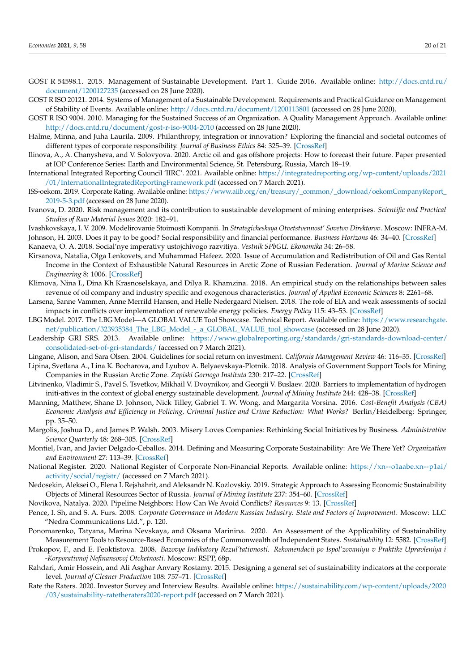- <span id="page-19-11"></span>GOST R 54598.1. 2015. Management of Sustainable Development. Part 1. Guide 2016. Available online: [http://docs.cntd.ru/](http://docs.cntd.ru/document/1200127235) [document/1200127235](http://docs.cntd.ru/document/1200127235) (accessed on 28 June 2020).
- <span id="page-19-10"></span>GOST R ISO 20121. 2014. Systems of Management of a Sustainable Development. Requirements and Practical Guidance on Management of Stability of Events. Available online: <http://docs.cntd.ru/document/1200113801> (accessed on 28 June 2020).
- <span id="page-19-9"></span>GOST R ISO 9004. 2010. Managing for the Sustained Success of an Organization. A Quality Management Approach. Available online: <http://docs.cntd.ru/document/gost-r-iso-9004-2010> (accessed on 28 June 2020).
- <span id="page-19-5"></span>Halme, Minna, and Juha Laurila. 2009. Philanthropy, integration or innovation? Exploring the financial and societal outcomes of different types of corporate responsibility. *Journal of Business Ethics* 84: 325–39. [\[CrossRef\]](http://doi.org/10.1007/s10551-008-9712-5)
- <span id="page-19-21"></span>Ilinova, A., A. Chanysheva, and V. Solovyova. 2020. Arctic oil and gas offshore projects: How to forecast their future. Paper presented at IOP Conference Series: Earth and Environmental Science, St. Petersburg, Russia, March 18–19.
- <span id="page-19-26"></span>International Integrated Reporting Council 'IIRC'. 2021. Available online: [https://integratedreporting.org/wp-content/uploads/2021](https://integratedreporting.org/wp-content/uploads/2021/01/InternationalIntegratedReportingFramework.pdf) [/01/InternationalIntegratedReportingFramework.pdf](https://integratedreporting.org/wp-content/uploads/2021/01/InternationalIntegratedReportingFramework.pdf) (accessed on 7 March 2021).
- <span id="page-19-18"></span>ISS-oekom. 2019. Corporate Rating. Available online: [https://www.aiib.org/en/treasury/\\_common/\\_download/oekomCompanyReport\\_](https://www.aiib.org/en/treasury/_common/_download/oekomCompanyReport_2019-5-3.pdf) [2019-5-3.pdf](https://www.aiib.org/en/treasury/_common/_download/oekomCompanyReport_2019-5-3.pdf) (accessed on 28 June 2020).
- <span id="page-19-22"></span>Ivanova, D. 2020. Risk management and its contribution to sustainable development of mining enterprises. *Scientific and Practical Studies of Raw Material Issues* 2020: 182–91.
- <span id="page-19-8"></span><span id="page-19-4"></span>Ivashkovskaya, I. V. 2009. Modelirovanie Stoimosti Kompanii. In *Strategicheskaya Otvetstvennost' Sovetov Direktorov*. Moscow: INFRA-M. Johnson, H. 2003. Does it pay to be good? Social responsibility and financial performance. *Business Horizons* 46: 34–40. [\[CrossRef\]](http://doi.org/10.1016/S0007-6813(03)00086-7)
- <span id="page-19-13"></span>Kanaeva, O. A. 2018. Social'nye imperativy ustojchivogo razvitiya. *Vestnik SPbGU. Ekonomika* 34: 26–58.
- <span id="page-19-23"></span>Kirsanova, Natalia, Olga Lenkovets, and Muhammad Hafeez. 2020. Issue of Accumulation and Redistribution of Oil and Gas Rental Income in the Context of Exhaustible Natural Resources in Arctic Zone of Russian Federation. *Journal of Marine Science and Engineering* 8: 1006. [\[CrossRef\]](http://doi.org/10.3390/jmse8121006)
- <span id="page-19-7"></span>Klimova, Nina I., Dina Kh Krasnoselskaya, and Dilya R. Khamzina. 2018. An empirical study on the relationships between sales revenue of oil company and industry specific and exogenous characteristics. *Journal of Applied Economic Sciences* 8: 2261–68.
- <span id="page-19-12"></span>Larsena, Sanne Vammen, Anne Merrild Hansen, and Helle Nedergaard Nielsen. 2018. The role of EIA and weak assessments of social impacts in conflicts over implementation of renewable energy policies. *Energy Policy* 115: 43–53. [\[CrossRef\]](http://doi.org/10.1016/j.enpol.2018.01.002)
- <span id="page-19-15"></span>LBG Model. 2017. The LBG Model—A GLOBAL VALUE Tool Showcase. Technical Report. Available online: [https://www.researchgate.](https://www.researchgate.net/publication/323935384_The_LBG_Model_-_a_GLOBAL_VALUE_tool_showcase) [net/publication/323935384\\_The\\_LBG\\_Model\\_-\\_a\\_GLOBAL\\_VALUE\\_tool\\_showcase](https://www.researchgate.net/publication/323935384_The_LBG_Model_-_a_GLOBAL_VALUE_tool_showcase) (accessed on 28 June 2020).
- <span id="page-19-27"></span>Leadership GRI SRS. 2013. Available online: [https://www.globalreporting.org/standards/gri-standards-download-center/](https://www.globalreporting.org/standards/gri-standards-download-center/consolidated-set-of-gri-standards/) [consolidated-set-of-gri-standards/](https://www.globalreporting.org/standards/gri-standards-download-center/consolidated-set-of-gri-standards/) (accessed on 7 March 2021).
- <span id="page-19-20"></span><span id="page-19-16"></span>Lingane, Alison, and Sara Olsen. 2004. Guidelines for social return on investment. *California Management Review* 46: 116–35. [\[CrossRef\]](http://doi.org/10.2307/41166224) Lipina, Svetlana A., Lina K. Bocharova, and Lyubov A. Belyaevskaya-Plotnik. 2018. Analysis of Government Support Tools for Mining
- Companies in the Russian Arctic Zone. *Zapiski Gornogo Instituta* 230: 217–22. [\[CrossRef\]](http://doi.org/10.25515/PMI.2018.2.217)
- <span id="page-19-24"></span>Litvinenko, Vladimir S., Pavel S. Tsvetkov, Mikhail V. Dvoynikov, and Georgii V. Buslaev. 2020. Barriers to implementation of hydrogen initi-atives in the context of global energy sustainable development. *Journal of Mining Institute* 244: 428–38. [\[CrossRef\]](http://doi.org/10.31897/pmi.2020.4.5)
- <span id="page-19-17"></span>Manning, Matthew, Shane D. Johnson, Nick Tilley, Gabriel T. W. Wong, and Margarita Vorsina. 2016. *Cost-Benefit Analysis (CBA) Economic Analysis and Efficiency in Policing, Criminal Justice and Crime Reduction: What Works?* Berlin/Heidelberg: Springer, pp. 35–50.
- <span id="page-19-3"></span>Margolis, Joshua D., and James P. Walsh. 2003. Misery Loves Companies: Rethinking Social Initiatives by Business. *Administrative Science Quarterly* 48: 268–305. [\[CrossRef\]](http://doi.org/10.2307/3556659)
- <span id="page-19-2"></span>Montiel, Ivan, and Javier Delgado-Ceballos. 2014. Defining and Measuring Corporate Sustainability: Are We There Yet? *Organization and Environment* 27: 113–39. [\[CrossRef\]](http://doi.org/10.1177/1086026614526413)
- <span id="page-19-29"></span>National Register. 2020. National Register of Corporate Non-Financial Reports. Available online: [https://xn--o1aabe.xn--p1ai/](https://xn--o1aabe.xn--p1ai/activity/social/registr/) [activity/social/registr/](https://xn--o1aabe.xn--p1ai/activity/social/registr/) (accessed on 7 March 2021).
- <span id="page-19-6"></span>Nedosekin, Aleksei O., Elena I. Rejshahrit, and Aleksandr N. Kozlovskiy. 2019. Strategic Approach to Assessing Economic Sustainability Objects of Mineral Resources Sector of Russia. *Journal of Mining Institute* 237: 354–60. [\[CrossRef\]](http://doi.org/10.31897/pmi.2019.3.354)
- <span id="page-19-1"></span>Novikova, Natalya. 2020. Pipeline Neighbors: How Can We Avoid Conflicts? *Resources* 9: 13. [\[CrossRef\]](http://doi.org/10.3390/resources9020013)
- <span id="page-19-28"></span>Pence, I. Sh, and S. A. Furs. 2008. *Corporate Governance in Modern Russian Industry: State and Factors of Improvement*. Moscow: LLC "Nedra Communications Ltd.", p. 120.
- <span id="page-19-0"></span>Ponomarenko, Tatyana, Marina Nevskaya, and Oksana Marinina. 2020. An Assessment of the Applicability of Sustainability Measurement Tools to Resource-Based Economies of the Commonwealth of Independent States. *Sustainability* 12: 5582. [\[CrossRef\]](http://doi.org/10.3390/su12145582)
- <span id="page-19-14"></span>Prokopov, F., and E. Feoktistova. 2008. *Bazovye Indikatory Rezul'tativnosti. Rekomendacii po Ispol'zovaniyu v Praktike Upravleniya i -Korporativnoj Nefinansovoj Otchetnosti*. Moscow: RSPP, 68p.
- <span id="page-19-19"></span>Rahdari, Amir Hossein, and Ali Asghar Anvary Rostamy. 2015. Designing a general set of sustainability indicators at the corporate level. *Journal of Cleaner Production* 108: 757–71. [\[CrossRef\]](http://doi.org/10.1016/j.jclepro.2015.05.108)
- <span id="page-19-25"></span>Rate the Raters. 2020. Investor Survey and Interview Results. Available online: [https://sustainability.com/wp-content/uploads/2020](https://sustainability.com/wp-content/uploads/2020/03/sustainability-ratetheraters2020-report.pdf) [/03/sustainability-ratetheraters2020-report.pdf](https://sustainability.com/wp-content/uploads/2020/03/sustainability-ratetheraters2020-report.pdf) (accessed on 7 March 2021).